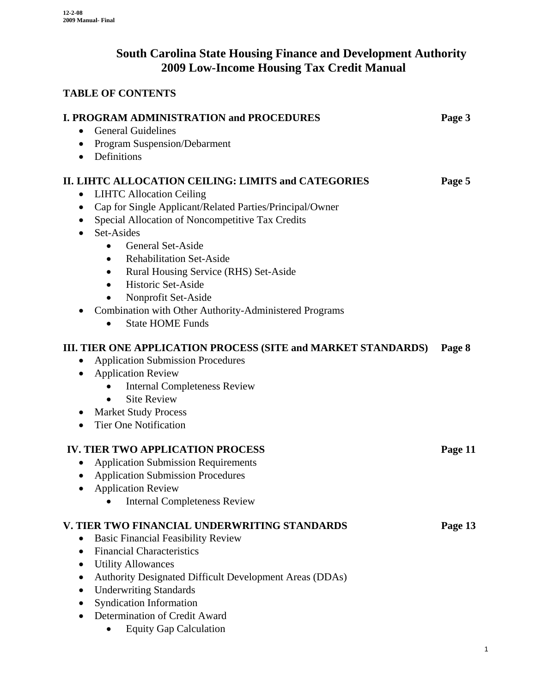# **South Carolina State Housing Finance and Development Authority 2009 Low-Income Housing Tax Credit Manual**

# **TABLE OF CONTENTS**

| <b>I. PROGRAM ADMINISTRATION and PROCEDURES</b><br><b>General Guidelines</b><br>$\bullet$                                                                                                                                                                                                                                                                                                                                                                                                                                                           | Page 3  |
|-----------------------------------------------------------------------------------------------------------------------------------------------------------------------------------------------------------------------------------------------------------------------------------------------------------------------------------------------------------------------------------------------------------------------------------------------------------------------------------------------------------------------------------------------------|---------|
| • Program Suspension/Debarment<br>• Definitions                                                                                                                                                                                                                                                                                                                                                                                                                                                                                                     |         |
| II. LIHTC ALLOCATION CEILING: LIMITS and CATEGORIES<br><b>LIHTC Allocation Ceiling</b><br>$\bullet$<br>Cap for Single Applicant/Related Parties/Principal/Owner<br>Special Allocation of Noncompetitive Tax Credits<br>$\bullet$<br>Set-Asides<br><b>General Set-Aside</b><br>$\bullet$<br><b>Rehabilitation Set-Aside</b><br>$\bullet$<br>Rural Housing Service (RHS) Set-Aside<br>$\bullet$<br>Historic Set-Aside<br>$\bullet$<br>Nonprofit Set-Aside<br><b>Combination with Other Authority-Administered Programs</b><br><b>State HOME Funds</b> | Page 5  |
| III. TIER ONE APPLICATION PROCESS (SITE and MARKET STANDARDS)<br><b>Application Submission Procedures</b><br><b>Application Review</b><br>$\bullet$<br><b>Internal Completeness Review</b><br><b>Site Review</b><br>$\bullet$<br><b>Market Study Process</b><br><b>Tier One Notification</b><br>$\bullet$                                                                                                                                                                                                                                           | Page 8  |
| <b>IV. TIER TWO APPLICATION PROCESS</b><br><b>Application Submission Requirements</b><br><b>Application Submission Procedures</b><br><b>Application Review</b><br>$\bullet$<br><b>Internal Completeness Review</b>                                                                                                                                                                                                                                                                                                                                  | Page 11 |
| V. TIER TWO FINANCIAL UNDERWRITING STANDARDS<br><b>Basic Financial Feasibility Review</b><br><b>Financial Characteristics</b><br><b>Utility Allowances</b><br><b>Authority Designated Difficult Development Areas (DDAs)</b><br><b>Underwriting Standards</b><br><b>Syndication Information</b><br>Determination of Credit Award<br><b>Equity Gap Calculation</b>                                                                                                                                                                                   | Page 13 |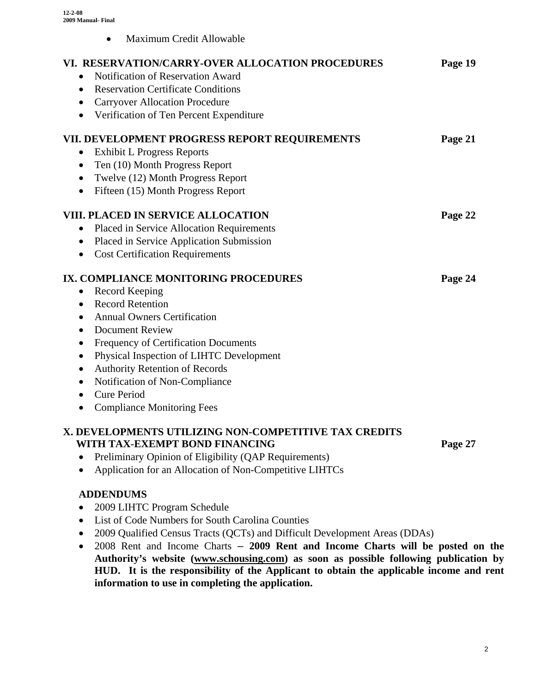• Maximum Credit Allowable

| VI. RESERVATION/CARRY-OVER ALLOCATION PROCEDURES        | Page 19 |
|---------------------------------------------------------|---------|
| Notification of Reservation Award<br>$\bullet$          |         |
| <b>Reservation Certificate Conditions</b><br>$\bullet$  |         |
| <b>Carryover Allocation Procedure</b><br>$\bullet$      |         |
| Verification of Ten Percent Expenditure<br>$\bullet$    |         |
| VII. DEVELOPMENT PROGRESS REPORT REQUIREMENTS           | Page 21 |
| <b>Exhibit L Progress Reports</b>                       |         |
| Ten (10) Month Progress Report<br>$\bullet$             |         |
| Twelve (12) Month Progress Report<br>$\bullet$          |         |
| Fifteen (15) Month Progress Report<br>$\bullet$         |         |
| <b>VIII. PLACED IN SERVICE ALLOCATION</b>               | Page 22 |
| Placed in Service Allocation Requirements<br>$\bullet$  |         |
| Placed in Service Application Submission<br>$\bullet$   |         |
| <b>Cost Certification Requirements</b><br>$\bullet$     |         |
| IX. COMPLIANCE MONITORING PROCEDURES                    | Page 24 |
| Record Keeping<br>$\bullet$                             |         |
| <b>Record Retention</b><br>$\bullet$                    |         |
| <b>Annual Owners Certification</b><br>$\bullet$         |         |
| <b>Document Review</b><br>$\bullet$                     |         |
| Frequency of Certification Documents<br>$\bullet$       |         |
| Physical Inspection of LIHTC Development<br>$\bullet$   |         |
| <b>Authority Retention of Records</b><br>$\bullet$      |         |
| Notification of Non-Compliance<br>$\bullet$             |         |
| <b>Cure Period</b><br>$\bullet$                         |         |
| <b>Compliance Monitoring Fees</b><br>$\bullet$          |         |
| X. DEVELOPMENTS UTILIZING NON-COMPETITIVE TAX CREDITS   |         |
| WITH TAX-EXEMPT BOND FINANCING                          | Page 27 |
| Preliminary Opinion of Eligibility (QAP Requirements)   |         |
| Application for an Allocation of Non-Competitive LIHTCs |         |

## **ADDENDUMS**

- 2009 LIHTC Program Schedule
- List of Code Numbers for South Carolina Counties
- 2009 Qualified Census Tracts (QCTs) and Difficult Development Areas (DDAs)
- 2008 Rent and Income Charts **2009 Rent and Income Charts will be posted on the Authority's website ([www.schousing.com](http://www.schousing.us/)) as soon as possible following publication by HUD. It is the responsibility of the Applicant to obtain the applicable income and rent information to use in completing the application.**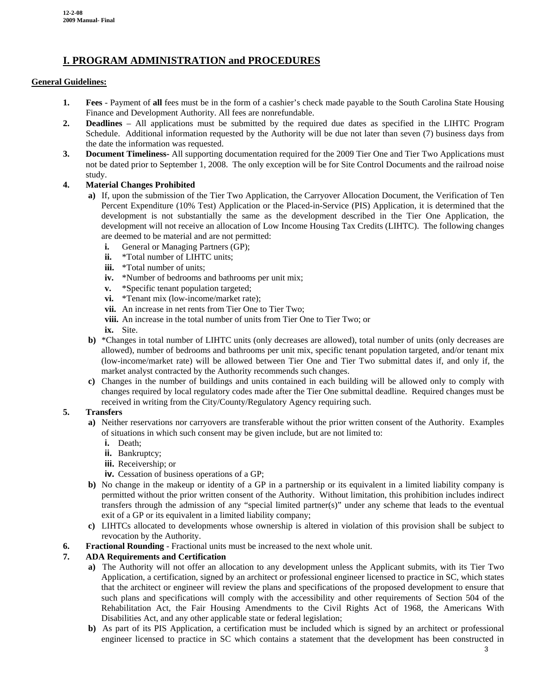# **I. PROGRAM ADMINISTRATION and PROCEDURES**

#### **General Guidelines:**

- **1. Fees** Payment of **all** fees must be in the form of a cashier's check made payable to the South Carolina State Housing Finance and Development Authority. All fees are nonrefundable.
- **2. Deadlines** All applications must be submitted by the required due dates as specified in the LIHTC Program Schedule. Additional information requested by the Authority will be due not later than seven (7) business days from the date the information was requested.
- **3. Document Timeliness-** All supporting documentation required for the 2009 Tier One and Tier Two Applications must not be dated prior to September 1, 2008. The only exception will be for Site Control Documents and the railroad noise study.

#### **4. Material Changes Prohibited**

- **a)** If, upon the submission of the Tier Two Application, the Carryover Allocation Document, the Verification of Ten Percent Expenditure (10% Test) Application or the Placed-in-Service (PIS) Application, it is determined that the development is not substantially the same as the development described in the Tier One Application, the development will not receive an allocation of Low Income Housing Tax Credits (LIHTC). The following changes are deemed to be material and are not permitted:
	- **i.** General or Managing Partners (GP);
	- **ii.** \*Total number of LIHTC units:
	- **iii.** \*Total number of units:
	- **iv.** \*Number of bedrooms and bathrooms per unit mix;
	- **v.** \*Specific tenant population targeted;
	- **vi.** \*Tenant mix (low-income/market rate);
	- **vii.** An increase in net rents from Tier One to Tier Two;
	- **viii.** An increase in the total number of units from Tier One to Tier Two; or

**ix.** Site.

- **b)** \*Changes in total number of LIHTC units (only decreases are allowed), total number of units (only decreases are allowed), number of bedrooms and bathrooms per unit mix, specific tenant population targeted, and/or tenant mix (low-income/market rate) will be allowed between Tier One and Tier Two submittal dates if, and only if, the market analyst contracted by the Authority recommends such changes.
- **c)** Changes in the number of buildings and units contained in each building will be allowed only to comply with changes required by local regulatory codes made after the Tier One submittal deadline. Required changes must be received in writing from the City/County/Regulatory Agency requiring such.

#### **5. Transfers**

- **a)** Neither reservations nor carryovers are transferable without the prior written consent of the Authority. Examples of situations in which such consent may be given include, but are not limited to:
	- **i.** Death;
	- **ii.** Bankruptcy;
	- **iii.** Receivership; or
	- **iv.** Cessation of business operations of a GP;
- **b)** No change in the makeup or identity of a GP in a partnership or its equivalent in a limited liability company is permitted without the prior written consent of the Authority. Without limitation, this prohibition includes indirect transfers through the admission of any "special limited partner(s)" under any scheme that leads to the eventual exit of a GP or its equivalent in a limited liability company;
- **c)** LIHTCs allocated to developments whose ownership is altered in violation of this provision shall be subject to revocation by the Authority.
- **6. Fractional Rounding** Fractional units must be increased to the next whole unit.

#### **7. ADA Requirements and Certification**

- **a)** The Authority will not offer an allocation to any development unless the Applicant submits, with its Tier Two Application, a certification, signed by an architect or professional engineer licensed to practice in SC, which states that the architect or engineer will review the plans and specifications of the proposed development to ensure that such plans and specifications will comply with the accessibility and other requirements of Section 504 of the Rehabilitation Act, the Fair Housing Amendments to the Civil Rights Act of 1968, the Americans With Disabilities Act, and any other applicable state or federal legislation;
- **b**) As part of its PIS Application, a certification must be included which is signed by an architect or professional engineer licensed to practice in SC which contains a statement that the development has been constructed in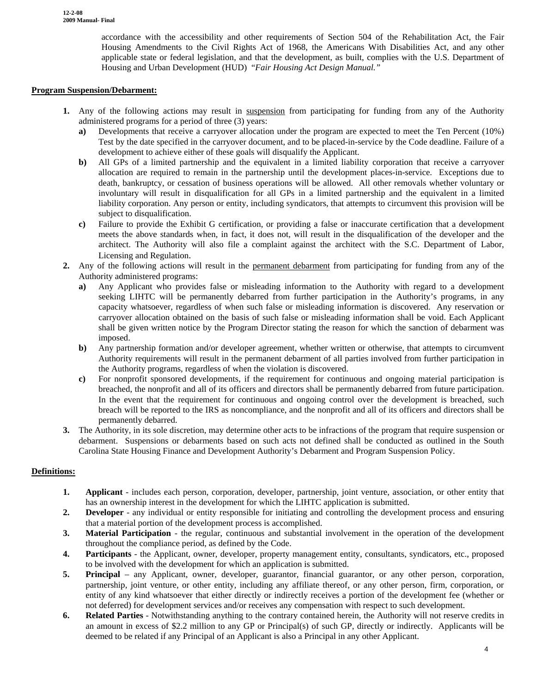accordance with the accessibility and other requirements of Section 504 of the Rehabilitation Act, the Fair Housing Amendments to the Civil Rights Act of 1968, the Americans With Disabilities Act, and any other applicable state or federal legislation, and that the development, as built, complies with the U.S. Department of Housing and Urban Development (HUD) "*Fair Housing Act Design Manual."*

#### **Program Suspension/Debarment:**

- **1.** Any of the following actions may result in suspension from participating for funding from any of the Authority administered programs for a period of three (3) years:
	- **a)** Developments that receive a carryover allocation under the program are expected to meet the Ten Percent (10%) Test by the date specified in the carryover document, and to be placed-in-service by the Code deadline. Failure of a development to achieve either of these goals will disqualify the Applicant.
	- **b)** All GPs of a limited partnership and the equivalent in a limited liability corporation that receive a carryover allocation are required to remain in the partnership until the development places-in-service. Exceptions due to death, bankruptcy, or cessation of business operations will be allowed. All other removals whether voluntary or involuntary will result in disqualification for all GPs in a limited partnership and the equivalent in a limited liability corporation. Any person or entity, including syndicators, that attempts to circumvent this provision will be subject to disqualification.
	- **c)** Failure to provide the Exhibit G certification, or providing a false or inaccurate certification that a development meets the above standards when, in fact, it does not, will result in the disqualification of the developer and the architect. The Authority will also file a complaint against the architect with the S.C. Department of Labor, Licensing and Regulation.
- **2.** Any of the following actions will result in the permanent debarment from participating for funding from any of the Authority administered programs:
	- **a)** Any Applicant who provides false or misleading information to the Authority with regard to a development seeking LIHTC will be permanently debarred from further participation in the Authority's programs, in any capacity whatsoever, regardless of when such false or misleading information is discovered. Any reservation or carryover allocation obtained on the basis of such false or misleading information shall be void. Each Applicant shall be given written notice by the Program Director stating the reason for which the sanction of debarment was imposed.
	- **b)** Any partnership formation and/or developer agreement, whether written or otherwise, that attempts to circumvent Authority requirements will result in the permanent debarment of all parties involved from further participation in the Authority programs, regardless of when the violation is discovered.
	- **c)** For nonprofit sponsored developments, if the requirement for continuous and ongoing material participation is breached, the nonprofit and all of its officers and directors shall be permanently debarred from future participation. In the event that the requirement for continuous and ongoing control over the development is breached, such breach will be reported to the IRS as noncompliance, and the nonprofit and all of its officers and directors shall be permanently debarred.
- **3.** The Authority, in its sole discretion, may determine other acts to be infractions of the program that require suspension or debarment. Suspensions or debarments based on such acts not defined shall be conducted as outlined in the South Carolina State Housing Finance and Development Authority's Debarment and Program Suspension Policy.

#### **Definitions:**

- **1. Applicant** includes each person, corporation, developer, partnership, joint venture, association, or other entity that has an ownership interest in the development for which the LIHTC application is submitted.
- **2. Developer** any individual or entity responsible for initiating and controlling the development process and ensuring that a material portion of the development process is accomplished.
- **3. Material Participation**  the regular, continuous and substantial involvement in the operation of the development throughout the compliance period, as defined by the Code.
- **4. Participants** the Applicant, owner, developer, property management entity, consultants, syndicators, etc., proposed to be involved with the development for which an application is submitted.
- **5. Principal** any Applicant, owner, developer, guarantor, financial guarantor, or any other person, corporation, partnership, joint venture, or other entity, including any affiliate thereof, or any other person, firm, corporation, or entity of any kind whatsoever that either directly or indirectly receives a portion of the development fee (whether or not deferred) for development services and/or receives any compensation with respect to such development.
- **6. Related Parties** Notwithstanding anything to the contrary contained herein, the Authority will not reserve credits in an amount in excess of \$2.2 million to any GP or Principal(s) of such GP, directly or indirectly. Applicants will be deemed to be related if any Principal of an Applicant is also a Principal in any other Applicant.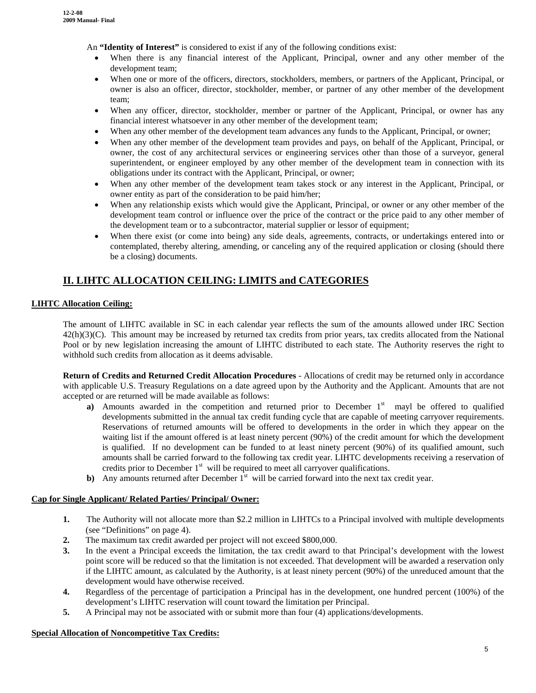An **"Identity of Interest"** is considered to exist if any of the following conditions exist:

- When there is any financial interest of the Applicant, Principal, owner and any other member of the development team;
- When one or more of the officers, directors, stockholders, members, or partners of the Applicant, Principal, or owner is also an officer, director, stockholder, member, or partner of any other member of the development team;
- When any officer, director, stockholder, member or partner of the Applicant, Principal, or owner has any financial interest whatsoever in any other member of the development team;
- When any other member of the development team advances any funds to the Applicant, Principal, or owner;
- When any other member of the development team provides and pays, on behalf of the Applicant, Principal, or owner, the cost of any architectural services or engineering services other than those of a surveyor, general superintendent, or engineer employed by any other member of the development team in connection with its obligations under its contract with the Applicant, Principal, or owner;
- When any other member of the development team takes stock or any interest in the Applicant, Principal, or owner entity as part of the consideration to be paid him/her;
- When any relationship exists which would give the Applicant, Principal, or owner or any other member of the development team control or influence over the price of the contract or the price paid to any other member of the development team or to a subcontractor, material supplier or lessor of equipment;
- When there exist (or come into being) any side deals, agreements, contracts, or undertakings entered into or contemplated, thereby altering, amending, or canceling any of the required application or closing (should there be a closing) documents.

# **II. LIHTC ALLOCATION CEILING: LIMITS and CATEGORIES**

#### **LIHTC Allocation Ceiling:**

The amount of LIHTC available in SC in each calendar year reflects the sum of the amounts allowed under IRC Section  $42(h)(3)(C)$ . This amount may be increased by returned tax credits from prior years, tax credits allocated from the National Pool or by new legislation increasing the amount of LIHTC distributed to each state. The Authority reserves the right to withhold such credits from allocation as it deems advisable.

**Return of Credits and Returned Credit Allocation Procedures** - Allocations of credit may be returned only in accordance with applicable U.S. Treasury Regulations on a date agreed upon by the Authority and the Applicant. Amounts that are not accepted or are returned will be made available as follows:

- **a**) Amounts awarded in the competition and returned prior to December 1<sup>st</sup> mayl be offered to qualified developments submitted in the annual tax credit funding cycle that are capable of meeting carryover requirements. Reservations of returned amounts will be offered to developments in the order in which they appear on the waiting list if the amount offered is at least ninety percent (90%) of the credit amount for which the development is qualified. If no development can be funded to at least ninety percent (90%) of its qualified amount, such amounts shall be carried forward to the following tax credit year. LIHTC developments receiving a reservation of credits prior to December  $1<sup>st</sup>$  will be required to meet all carryover qualifications.
- **b**) Any amounts returned after December  $1<sup>st</sup>$  will be carried forward into the next tax credit year.

#### **Cap for Single Applicant/ Related Parties/ Principal/ Owner:**

- **1.** The Authority will not allocate more than \$2.2 million in LIHTCs to a Principal involved with multiple developments (see "Definitions" on page 4).
- **2.** The maximum tax credit awarded per project will not exceed \$800,000.
- **3.** In the event a Principal exceeds the limitation, the tax credit award to that Principal's development with the lowest point score will be reduced so that the limitation is not exceeded. That development will be awarded a reservation only if the LIHTC amount, as calculated by the Authority, is at least ninety percent (90%) of the unreduced amount that the development would have otherwise received.
- **4.** Regardless of the percentage of participation a Principal has in the development, one hundred percent (100%) of the development's LIHTC reservation will count toward the limitation per Principal.
- **5.** A Principal may not be associated with or submit more than four (4) applications/developments.

## **Special Allocation of Noncompetitive Tax Credits:**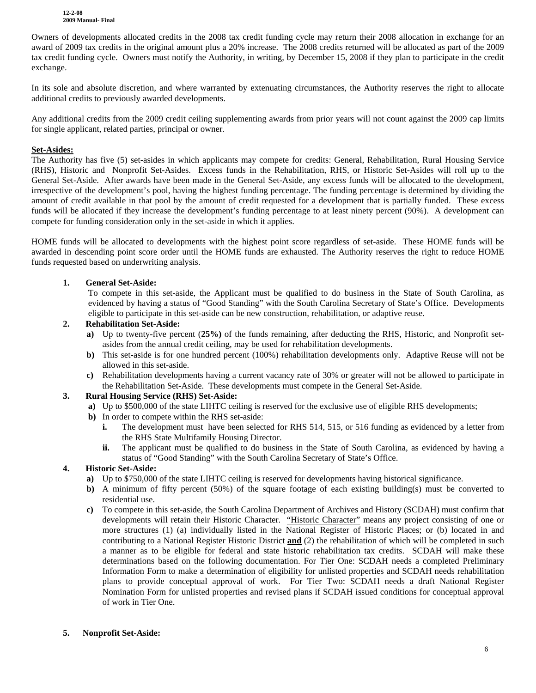**12-2-08 2009 Manual- Final**

Owners of developments allocated credits in the 2008 tax credit funding cycle may return their 2008 allocation in exchange for an award of 2009 tax credits in the original amount plus a 20% increase. The 2008 credits returned will be allocated as part of the 2009 tax credit funding cycle. Owners must notify the Authority, in writing, by December 15, 2008 if they plan to participate in the credit exchange.

In its sole and absolute discretion, and where warranted by extenuating circumstances, the Authority reserves the right to allocate additional credits to previously awarded developments.

Any additional credits from the 2009 credit ceiling supplementing awards from prior years will not count against the 2009 cap limits for single applicant, related parties, principal or owner.

#### **Set-Asides:**

The Authority has five (5) set-asides in which applicants may compete for credits: General, Rehabilitation, Rural Housing Service (RHS), Historic and Nonprofit Set-Asides. Excess funds in the Rehabilitation, RHS, or Historic Set-Asides will roll up to the General Set-Aside. After awards have been made in the General Set-Aside, any excess funds will be allocated to the development, irrespective of the development's pool, having the highest funding percentage. The funding percentage is determined by dividing the amount of credit available in that pool by the amount of credit requested for a development that is partially funded. These excess funds will be allocated if they increase the development's funding percentage to at least ninety percent (90%). A development can compete for funding consideration only in the set-aside in which it applies.

HOME funds will be allocated to developments with the highest point score regardless of set-aside. These HOME funds will be awarded in descending point score order until the HOME funds are exhausted. The Authority reserves the right to reduce HOME funds requested based on underwriting analysis.

#### **1. General Set-Aside:**

To compete in this set-aside, the Applicant must be qualified to do business in the State of South Carolina, as evidenced by having a status of "Good Standing" with the South Carolina Secretary of State's Office. Developments eligible to participate in this set-aside can be new construction, rehabilitation, or adaptive reuse.

#### **2. Rehabilitation Set-Aside:**

- **a)** Up to twenty-five percent (**25%)** of the funds remaining, after deducting the RHS, Historic, and Nonprofit setasides from the annual credit ceiling, may be used for rehabilitation developments.
- **b)** This set-aside is for one hundred percent (100%) rehabilitation developments only. Adaptive Reuse will not be allowed in this set-aside.
- **c)** Rehabilitation developments having a current vacancy rate of 30% or greater will not be allowed to participate in the Rehabilitation Set-Aside. These developments must compete in the General Set-Aside.

#### **3. Rural Housing Service (RHS) Set-Aside:**

- **a)** Up to \$500,000 of the state LIHTC ceiling is reserved for the exclusive use of eligible RHS developments;
- **b)** In order to compete within the RHS set-aside:
	- **i.** The development must have been selected for RHS 514, 515, or 516 funding as evidenced by a letter from the RHS State Multifamily Housing Director.
	- **ii.** The applicant must be qualified to do business in the State of South Carolina, as evidenced by having a status of "Good Standing" with the South Carolina Secretary of State's Office.

#### **4. Historic Set-Aside:**

- **a)** Up to \$750,000 of the state LIHTC ceiling is reserved for developments having historical significance.
- **b)** A minimum of fifty percent (50%) of the square footage of each existing building(s) must be converted to residential use.
- **c)** To compete in this set-aside, the South Carolina Department of Archives and History (SCDAH) must confirm that developments will retain their Historic Character. "Historic Character" means any project consisting of one or more structures (1) (a) individually listed in the National Register of Historic Places; or (b) located in and contributing to a National Register Historic District **and** (2) the rehabilitation of which will be completed in such a manner as to be eligible for federal and state historic rehabilitation tax credits. SCDAH will make these determinations based on the following documentation. For Tier One: SCDAH needs a completed Preliminary Information Form to make a determination of eligibility for unlisted properties and SCDAH needs rehabilitation plans to provide conceptual approval of work. For Tier Two: SCDAH needs a draft National Register Nomination Form for unlisted properties and revised plans if SCDAH issued conditions for conceptual approval of work in Tier One.

#### **5. Nonprofit Set-Aside:**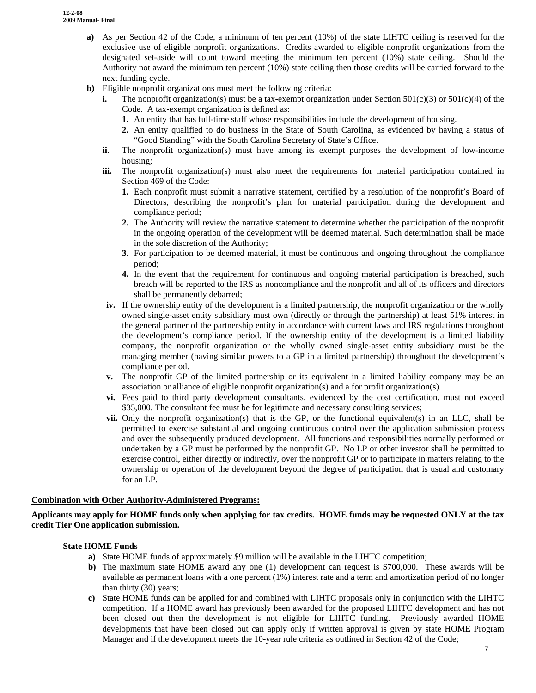- **a)** As per Section 42 of the Code, a minimum of ten percent (10%) of the state LIHTC ceiling is reserved for the exclusive use of eligible nonprofit organizations. Credits awarded to eligible nonprofit organizations from the designated set-aside will count toward meeting the minimum ten percent (10%) state ceiling. Should the Authority not award the minimum ten percent (10%) state ceiling then those credits will be carried forward to the next funding cycle.
- **b**) Eligible nonprofit organizations must meet the following criteria:
	- **i.** The nonprofit organization(s) must be a tax-exempt organization under Section  $501(c)(3)$  or  $501(c)(4)$  of the Code. A tax-exempt organization is defined as:
		- **1.** An entity that has full-time staff whose responsibilities include the development of housing.
		- **2.** An entity qualified to do business in the State of South Carolina, as evidenced by having a status of "Good Standing" with the South Carolina Secretary of State's Office.
	- **ii.** The nonprofit organization(s) must have among its exempt purposes the development of low-income housing;
	- **iii.** The nonprofit organization(s) must also meet the requirements for material participation contained in Section 469 of the Code:
		- **1.** Each nonprofit must submit a narrative statement, certified by a resolution of the nonprofit's Board of Directors, describing the nonprofit's plan for material participation during the development and compliance period;
		- **2.** The Authority will review the narrative statement to determine whether the participation of the nonprofit in the ongoing operation of the development will be deemed material. Such determination shall be made in the sole discretion of the Authority;
		- **3.** For participation to be deemed material, it must be continuous and ongoing throughout the compliance period;
		- **4.** In the event that the requirement for continuous and ongoing material participation is breached, such breach will be reported to the IRS as noncompliance and the nonprofit and all of its officers and directors shall be permanently debarred;
	- **iv.** If the ownership entity of the development is a limited partnership, the nonprofit organization or the wholly owned single-asset entity subsidiary must own (directly or through the partnership) at least 51% interest in the general partner of the partnership entity in accordance with current laws and IRS regulations throughout the development's compliance period. If the ownership entity of the development is a limited liability company, the nonprofit organization or the wholly owned single-asset entity subsidiary must be the managing member (having similar powers to a GP in a limited partnership) throughout the development's compliance period.
	- **v.** The nonprofit GP of the limited partnership or its equivalent in a limited liability company may be an association or alliance of eligible nonprofit organization(s) and a for profit organization(s).
	- **vi.** Fees paid to third party development consultants, evidenced by the cost certification, must not exceed \$35,000. The consultant fee must be for legitimate and necessary consulting services;
	- **vii.** Only the nonprofit organization(s) that is the GP, or the functional equivalent(s) in an LLC, shall be permitted to exercise substantial and ongoing continuous control over the application submission process and over the subsequently produced development. All functions and responsibilities normally performed or undertaken by a GP must be performed by the nonprofit GP. No LP or other investor shall be permitted to exercise control, either directly or indirectly, over the nonprofit GP or to participate in matters relating to the ownership or operation of the development beyond the degree of participation that is usual and customary for an LP.

#### **Combination with Other Authority-Administered Programs:**

#### **Applicants may apply for HOME funds only when applying for tax credits. HOME funds may be requested ONLY at the tax credit Tier One application submission.**

#### **State HOME Funds**

- **a)** State HOME funds of approximately \$9 million will be available in the LIHTC competition;
- **b)** The maximum state HOME award any one (1) development can request is \$700,000. These awards will be available as permanent loans with a one percent (1%) interest rate and a term and amortization period of no longer than thirty (30) years;
- **c)** State HOME funds can be applied for and combined with LIHTC proposals only in conjunction with the LIHTC competition. If a HOME award has previously been awarded for the proposed LIHTC development and has not been closed out then the development is not eligible for LIHTC funding. Previously awarded HOME developments that have been closed out can apply only if written approval is given by state HOME Program Manager and if the development meets the 10-year rule criteria as outlined in Section 42 of the Code;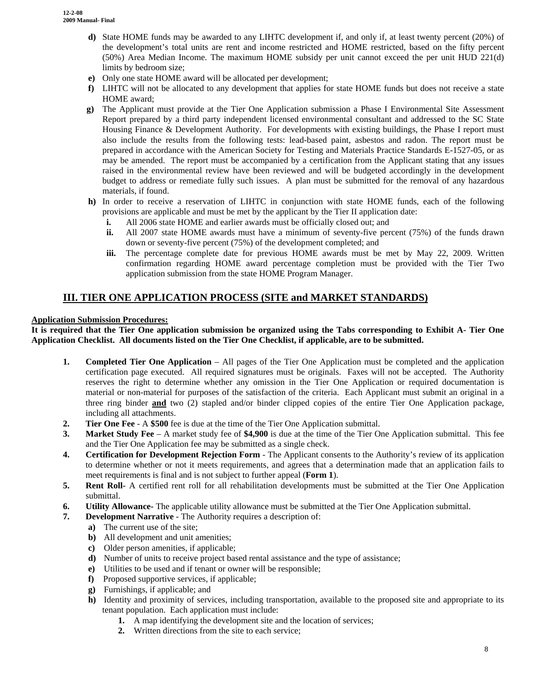- **d)** State HOME funds may be awarded to any LIHTC development if, and only if, at least twenty percent (20%) of the development's total units are rent and income restricted and HOME restricted, based on the fifty percent (50%) Area Median Income. The maximum HOME subsidy per unit cannot exceed the per unit HUD 221(d) limits by bedroom size;
- **e)** Only one state HOME award will be allocated per development;
- **f)** LIHTC will not be allocated to any development that applies for state HOME funds but does not receive a state HOME award;
- **g)** The Applicant must provide at the Tier One Application submission a Phase I Environmental Site Assessment Report prepared by a third party independent licensed environmental consultant and addressed to the SC State Housing Finance & Development Authority. For developments with existing buildings, the Phase I report must also include the results from the following tests: lead-based paint, asbestos and radon. The report must be prepared in accordance with the American Society for Testing and Materials Practice Standards E-1527-05, or as may be amended. The report must be accompanied by a certification from the Applicant stating that any issues raised in the environmental review have been reviewed and will be budgeted accordingly in the development budget to address or remediate fully such issues. A plan must be submitted for the removal of any hazardous materials, if found.
- **h)** In order to receive a reservation of LIHTC in conjunction with state HOME funds, each of the following provisions are applicable and must be met by the applicant by the Tier II application date:
	- **i.** All 2006 state HOME and earlier awards must be officially closed out; and
	- **ii.** All 2007 state HOME awards must have a minimum of seventy-five percent (75%) of the funds drawn down or seventy-five percent (75%) of the development completed; and
	- **iii.** The percentage complete date for previous HOME awards must be met by May 22, 2009. Written confirmation regarding HOME award percentage completion must be provided with the Tier Two application submission from the state HOME Program Manager.

## **III. TIER ONE APPLICATION PROCESS (SITE and MARKET STANDARDS)**

#### **Application Submission Procedures:**

**It is required that the Tier One application submission be organized using the Tabs corresponding to Exhibit A- Tier One Application Checklist. All documents listed on the Tier One Checklist, if applicable, are to be submitted.** 

- **1. Completed Tier One Application** All pages of the Tier One Application must be completed and the application certification page executed. All required signatures must be originals. Faxes will not be accepted. The Authority reserves the right to determine whether any omission in the Tier One Application or required documentation is material or non-material for purposes of the satisfaction of the criteria. Each Applicant must submit an original in a three ring binder **and** two (2) stapled and/or binder clipped copies of the entire Tier One Application package, including all attachments.
- **2. Tier One Fee** A **\$500** fee is due at the time of the Tier One Application submittal.
- **3. Market Study Fee** A market study fee of **\$4,900** is due at the time of the Tier One Application submittal. This fee and the Tier One Application fee may be submitted as a single check.
- **4. Certification for Development Rejection Form** The Applicant consents to the Authority's review of its application to determine whether or not it meets requirements, and agrees that a determination made that an application fails to meet requirements is final and is not subject to further appeal (**Form 1**).
- **5. Rent Roll-** A certified rent roll for all rehabilitation developments must be submitted at the Tier One Application submittal.
- **6. Utility Allowance-** The applicable utility allowance must be submitted at the Tier One Application submittal.
- **7. Development Narrative** The Authority requires a description of:
	- **a)** The current use of the site;
	- **b)** All development and unit amenities;
	- **c)** Older person amenities, if applicable;
	- **d)** Number of units to receive project based rental assistance and the type of assistance;
	- **e)** Utilities to be used and if tenant or owner will be responsible;
	- **f)** Proposed supportive services, if applicable;
	- **g)** Furnishings, if applicable; and
	- **h)** Identity and proximity of services, including transportation, available to the proposed site and appropriate to its tenant population. Each application must include:
		- **1.** A map identifying the development site and the location of services;
		- **2.** Written directions from the site to each service;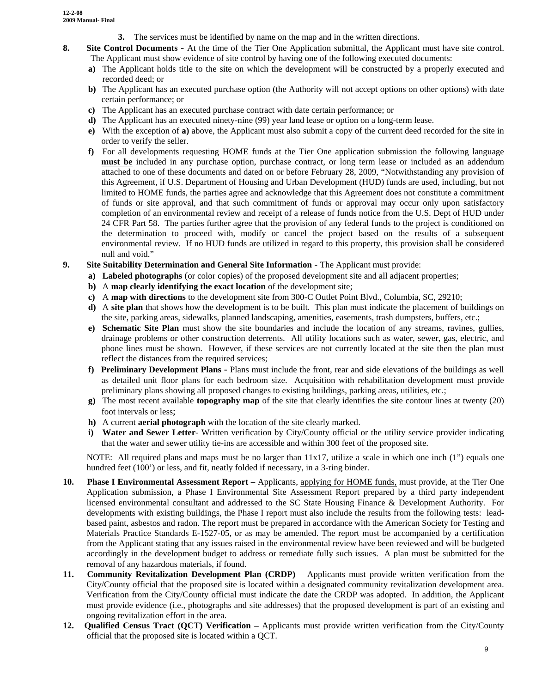- **3.** The services must be identified by name on the map and in the written directions.
- **8. Site Control Documents** At the time of the Tier One Application submittal, the Applicant must have site control. The Applicant must show evidence of site control by having one of the following executed documents:
	- **a)** The Applicant holds title to the site on which the development will be constructed by a properly executed and recorded deed; or
	- **b**) The Applicant has an executed purchase option (the Authority will not accept options on other options) with date certain performance; or
	- **c)** The Applicant has an executed purchase contract with date certain performance; or
	- **d)** The Applicant has an executed ninety-nine (99) year land lease or option on a long-term lease.
	- **e)** With the exception of **a)** above, the Applicant must also submit a copy of the current deed recorded for the site in order to verify the seller.
	- **f)** For all developments requesting HOME funds at the Tier One application submission the following language **must be** included in any purchase option, purchase contract, or long term lease or included as an addendum attached to one of these documents and dated on or before February 28, 2009, "Notwithstanding any provision of this Agreement, if U.S. Department of Housing and Urban Development (HUD) funds are used, including, but not limited to HOME funds, the parties agree and acknowledge that this Agreement does not constitute a commitment of funds or site approval, and that such commitment of funds or approval may occur only upon satisfactory completion of an environmental review and receipt of a release of funds notice from the U.S. Dept of HUD under 24 CFR Part 58. The parties further agree that the provision of any federal funds to the project is conditioned on the determination to proceed with, modify or cancel the project based on the results of a subsequent environmental review. If no HUD funds are utilized in regard to this property, this provision shall be considered null and void."
- **9. Site Suitability Determination and General Site Information** The Applicant must provide:
	- **a) Labeled photographs** (or color copies) of the proposed development site and all adjacent properties;
	- **b)** A **map clearly identifying the exact location** of the development site;
	- **c)** A **map with directions** to the development site from 300-C Outlet Point Blvd., Columbia, SC, 29210;
	- **d)** A **site plan** that shows how the development is to be built. This plan must indicate the placement of buildings on the site, parking areas, sidewalks, planned landscaping, amenities, easements, trash dumpsters, buffers, etc.;
	- **e) Schematic Site Plan** must show the site boundaries and include the location of any streams, ravines, gullies, drainage problems or other construction deterrents. All utility locations such as water, sewer, gas, electric, and phone lines must be shown. However, if these services are not currently located at the site then the plan must reflect the distances from the required services;
	- **f) Preliminary Development Plans** Plans must include the front, rear and side elevations of the buildings as well as detailed unit floor plans for each bedroom size. Acquisition with rehabilitation development must provide preliminary plans showing all proposed changes to existing buildings, parking areas, utilities, etc.;
	- **g)** The most recent available **topography map** of the site that clearly identifies the site contour lines at twenty (20) foot intervals or less;
	- **h)** A current **aerial photograph** with the location of the site clearly marked.
	- **i) Water and Sewer Letter** Written verification by City/County official or the utility service provider indicating that the water and sewer utility tie-ins are accessible and within 300 feet of the proposed site.

NOTE: All required plans and maps must be no larger than  $11x17$ , utilize a scale in which one inch (1") equals one hundred feet (100<sup>o</sup>) or less, and fit, neatly folded if necessary, in a 3-ring binder.

- **10. Phase I Environmental Assessment Report**  Applicants, applying for HOME funds, must provide, at the Tier One Application submission, a Phase I Environmental Site Assessment Report prepared by a third party independent licensed environmental consultant and addressed to the SC State Housing Finance & Development Authority. For developments with existing buildings, the Phase I report must also include the results from the following tests: leadbased paint, asbestos and radon. The report must be prepared in accordance with the American Society for Testing and Materials Practice Standards E-1527-05, or as may be amended. The report must be accompanied by a certification from the Applicant stating that any issues raised in the environmental review have been reviewed and will be budgeted accordingly in the development budget to address or remediate fully such issues. A plan must be submitted for the removal of any hazardous materials, if found.
- **11. Community Revitalization Development Plan (CRDP)** Applicants must provide written verification from the City/County official that the proposed site is located within a designated community revitalization development area. Verification from the City/County official must indicate the date the CRDP was adopted. In addition, the Applicant must provide evidence (i.e., photographs and site addresses) that the proposed development is part of an existing and ongoing revitalization effort in the area.
- **12. Qualified Census Tract (QCT) Verification** Applicants must provide written verification from the City/County official that the proposed site is located within a QCT.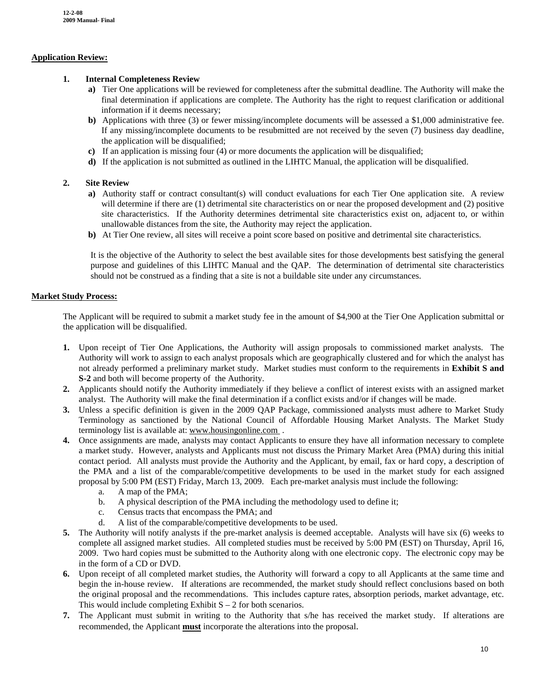#### **Application Review:**

#### **1. Internal Completeness Review**

- **a)** Tier One applications will be reviewed for completeness after the submittal deadline. The Authority will make the final determination if applications are complete. The Authority has the right to request clarification or additional information if it deems necessary;
- **b**) Applications with three (3) or fewer missing/incomplete documents will be assessed a \$1,000 administrative fee. If any missing/incomplete documents to be resubmitted are not received by the seven (7) business day deadline, the application will be disqualified;
- **c)** If an application is missing four (4) or more documents the application will be disqualified;
- **d)** If the application is not submitted as outlined in the LIHTC Manual, the application will be disqualified.

#### **2. Site Review**

- **a)** Authority staff or contract consultant(s) will conduct evaluations for each Tier One application site. A review will determine if there are (1) detrimental site characteristics on or near the proposed development and (2) positive site characteristics. If the Authority determines detrimental site characteristics exist on, adjacent to, or within unallowable distances from the site, the Authority may reject the application.
- **b)** At Tier One review, all sites will receive a point score based on positive and detrimental site characteristics.

It is the objective of the Authority to select the best available sites for those developments best satisfying the general purpose and guidelines of this LIHTC Manual and the QAP. The determination of detrimental site characteristics should not be construed as a finding that a site is not a buildable site under any circumstances.

#### **Market Study Process:**

The Applicant will be required to submit a market study fee in the amount of \$4,900 at the Tier One Application submittal or the application will be disqualified.

- **1.** Upon receipt of Tier One Applications, the Authority will assign proposals to commissioned market analysts. The Authority will work to assign to each analyst proposals which are geographically clustered and for which the analyst has not already performed a preliminary market study. Market studies must conform to the requirements in **Exhibit S and S-2** and both will become property of the Authority.
- **2.** Applicants should notify the Authority immediately if they believe a conflict of interest exists with an assigned market analyst. The Authority will make the final determination if a conflict exists and/or if changes will be made.
- **3.** Unless a specific definition is given in the 2009 QAP Package, commissioned analysts must adhere to Market Study Terminology as sanctioned by the National Council of Affordable Housing Market Analysts. The Market Study terminology list is available at: [www.housingonline.com](http://www.housingonline.com/) .
- **4.** Once assignments are made, analysts may contact Applicants to ensure they have all information necessary to complete a market study. However, analysts and Applicants must not discuss the Primary Market Area (PMA) during this initial contact period. All analysts must provide the Authority and the Applicant, by email, fax or hard copy, a description of the PMA and a list of the comparable/competitive developments to be used in the market study for each assigned proposal by 5:00 PM (EST) Friday, March 13, 2009. Each pre-market analysis must include the following:
	- a. A map of the PMA;
	- b. A physical description of the PMA including the methodology used to define it;
	- c. Census tracts that encompass the PMA; and
	- d. A list of the comparable/competitive developments to be used.
- **5.** The Authority will notify analysts if the pre-market analysis is deemed acceptable. Analysts will have six (6) weeks to complete all assigned market studies. All completed studies must be received by 5:00 PM (EST) on Thursday, April 16, 2009. Two hard copies must be submitted to the Authority along with one electronic copy. The electronic copy may be in the form of a CD or DVD.
- **6.** Upon receipt of all completed market studies, the Authority will forward a copy to all Applicants at the same time and begin the in-house review. If alterations are recommended, the market study should reflect conclusions based on both the original proposal and the recommendations. This includes capture rates, absorption periods, market advantage, etc. This would include completing Exhibit  $S - 2$  for both scenarios.
- **7.** The Applicant must submit in writing to the Authority that s/he has received the market study. If alterations are recommended, the Applicant **must** incorporate the alterations into the proposal.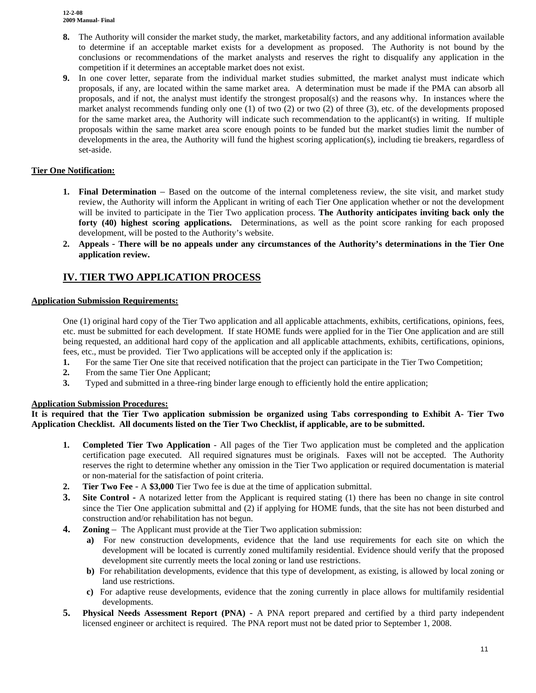- **8.** The Authority will consider the market study, the market, marketability factors, and any additional information available to determine if an acceptable market exists for a development as proposed. The Authority is not bound by the conclusions or recommendations of the market analysts and reserves the right to disqualify any application in the competition if it determines an acceptable market does not exist.
- **9.** In one cover letter, separate from the individual market studies submitted, the market analyst must indicate which proposals, if any, are located within the same market area. A determination must be made if the PMA can absorb all proposals, and if not, the analyst must identify the strongest proposal(s) and the reasons why. In instances where the market analyst recommends funding only one (1) of two (2) or two (2) of three (3), etc. of the developments proposed for the same market area, the Authority will indicate such recommendation to the applicant(s) in writing. If multiple proposals within the same market area score enough points to be funded but the market studies limit the number of developments in the area, the Authority will fund the highest scoring application(s), including tie breakers, regardless of set-aside.

#### **Tier One Notification:**

- **1. Final Determination** Based on the outcome of the internal completeness review, the site visit, and market study review, the Authority will inform the Applicant in writing of each Tier One application whether or not the development will be invited to participate in the Tier Two application process. **The Authority anticipates inviting back only the forty (40) highest scoring applications.** Determinations, as well as the point score ranking for each proposed development, will be posted to the Authority's website.
- **2. Appeals There will be no appeals under any circumstances of the Authority's determinations in the Tier One application review.**

## **IV. TIER TWO APPLICATION PROCESS**

#### **Application Submission Requirements:**

One (1) original hard copy of the Tier Two application and all applicable attachments, exhibits, certifications, opinions, fees, etc. must be submitted for each development. If state HOME funds were applied for in the Tier One application and are still being requested, an additional hard copy of the application and all applicable attachments, exhibits, certifications, opinions, fees, etc., must be provided. Tier Two applications will be accepted only if the application is:

- **1.** For the same Tier One site that received notification that the project can participate in the Tier Two Competition;
- **2.** From the same Tier One Applicant;
- **3.** Typed and submitted in a three-ring binder large enough to efficiently hold the entire application;

#### **Application Submission Procedures:**

**It is required that the Tier Two application submission be organized using Tabs corresponding to Exhibit A- Tier Two Application Checklist. All documents listed on the Tier Two Checklist, if applicable, are to be submitted.** 

- **1. Completed Tier Two Application** All pages of the Tier Two application must be completed and the application certification page executed. All required signatures must be originals. Faxes will not be accepted. The Authority reserves the right to determine whether any omission in the Tier Two application or required documentation is material or non-material for the satisfaction of point criteria.
- **2. Tier Two Fee** A **\$3,000** Tier Two fee is due at the time of application submittal.
- **3. Site Control -** A notarized letter from the Applicant is required stating (1) there has been no change in site control since the Tier One application submittal and (2) if applying for HOME funds, that the site has not been disturbed and construction and/or rehabilitation has not begun.
- **4. Zoning**  The Applicant must provide at the Tier Two application submission:
	- **a)** For new construction developments, evidence that the land use requirements for each site on which the development will be located is currently zoned multifamily residential. Evidence should verify that the proposed development site currently meets the local zoning or land use restrictions.
	- **b)** For rehabilitation developments, evidence that this type of development, as existing, is allowed by local zoning or land use restrictions.
	- **c)** For adaptive reuse developments, evidence that the zoning currently in place allows for multifamily residential developments.
- **5. Physical Needs Assessment Report (PNA)** A PNA report prepared and certified by a third party independent licensed engineer or architect is required. The PNA report must not be dated prior to September 1, 2008.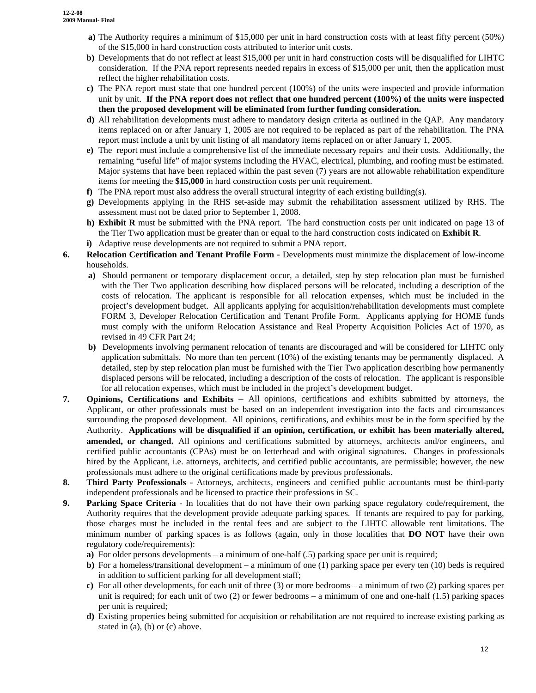- **a)** The Authority requires a minimum of \$15,000 per unit in hard construction costs with at least fifty percent (50%) of the \$15,000 in hard construction costs attributed to interior unit costs.
- **b**) Developments that do not reflect at least \$15,000 per unit in hard construction costs will be disqualified for LIHTC consideration. If the PNA report represents needed repairs in excess of \$15,000 per unit, then the application must reflect the higher rehabilitation costs.
- **c)** The PNA report must state that one hundred percent (100%) of the units were inspected and provide information unit by unit. **If the PNA report does not reflect that one hundred percent (100%) of the units were inspected then the proposed development will be eliminated from further funding consideration.**
- **d)** All rehabilitation developments must adhere to mandatory design criteria as outlined in the QAP. Any mandatory items replaced on or after January 1, 2005 are not required to be replaced as part of the rehabilitation. The PNA report must include a unit by unit listing of all mandatory items replaced on or after January 1, 2005.
- **e)** The report must include a comprehensive list of the immediate necessary repairs and their costs. Additionally, the remaining "useful life" of major systems including the HVAC, electrical, plumbing, and roofing must be estimated. Major systems that have been replaced within the past seven (7) years are not allowable rehabilitation expenditure items for meeting the **\$15,000** in hard construction costs per unit requirement.
- **f)** The PNA report must also address the overall structural integrity of each existing building(s).
- **g)** Developments applying in the RHS set-aside may submit the rehabilitation assessment utilized by RHS. The assessment must not be dated prior to September 1, 2008.
- **h) Exhibit R** must be submitted with the PNA report. The hard construction costs per unit indicated on page 13 of the Tier Two application must be greater than or equal to the hard construction costs indicated on **Exhibit R**.
- **i)** Adaptive reuse developments are not required to submit a PNA report.
- **6. Relocation Certification and Tenant Profile Form** Developments must minimize the displacement of low-income households.
	- **a**) Should permanent or temporary displacement occur, a detailed, step by step relocation plan must be furnished with the Tier Two application describing how displaced persons will be relocated, including a description of the costs of relocation. The applicant is responsible for all relocation expenses, which must be included in the project's development budget. All applicants applying for acquisition/rehabilitation developments must complete FORM 3, Developer Relocation Certification and Tenant Profile Form. Applicants applying for HOME funds must comply with the uniform Relocation Assistance and Real Property Acquisition Policies Act of 1970, as revised in 49 CFR Part 24;
	- **b)** Developments involving permanent relocation of tenants are discouraged and will be considered for LIHTC only application submittals. No more than ten percent (10%) of the existing tenants may be permanently displaced. A detailed, step by step relocation plan must be furnished with the Tier Two application describing how permanently displaced persons will be relocated, including a description of the costs of relocation. The applicant is responsible for all relocation expenses, which must be included in the project's development budget.
- **7. Opinions, Certifications and Exhibits** All opinions, certifications and exhibits submitted by attorneys, the Applicant, or other professionals must be based on an independent investigation into the facts and circumstances surrounding the proposed development. All opinions, certifications, and exhibits must be in the form specified by the Authority. **Applications will be disqualified if an opinion, certification, or exhibit has been materially altered, amended, or changed.** All opinions and certifications submitted by attorneys, architects and/or engineers, and certified public accountants (CPAs) must be on letterhead and with original signatures. Changes in professionals hired by the Applicant, i.e. attorneys, architects, and certified public accountants, are permissible; however, the new professionals must adhere to the original certifications made by previous professionals.
- **8. Third Party Professionals** Attorneys, architects, engineers and certified public accountants must be third-party independent professionals and be licensed to practice their professions in SC.
- **9. Parking Space Criteria**  In localities that do not have their own parking space regulatory code/requirement, the Authority requires that the development provide adequate parking spaces. If tenants are required to pay for parking, those charges must be included in the rental fees and are subject to the LIHTC allowable rent limitations. The minimum number of parking spaces is as follows (again, only in those localities that **DO NOT** have their own regulatory code/requirements):
	- **a**) For older persons developments a minimum of one-half (.5) parking space per unit is required;
	- **b)** For a homeless/transitional development a minimum of one (1) parking space per every ten (10) beds is required in addition to sufficient parking for all development staff;
	- **c)** For all other developments, for each unit of three (3) or more bedrooms a minimum of two (2) parking spaces per unit is required; for each unit of two  $(2)$  or fewer bedrooms – a minimum of one and one-half  $(1.5)$  parking spaces per unit is required;
	- **d)** Existing properties being submitted for acquisition or rehabilitation are not required to increase existing parking as stated in (a), (b) or (c) above.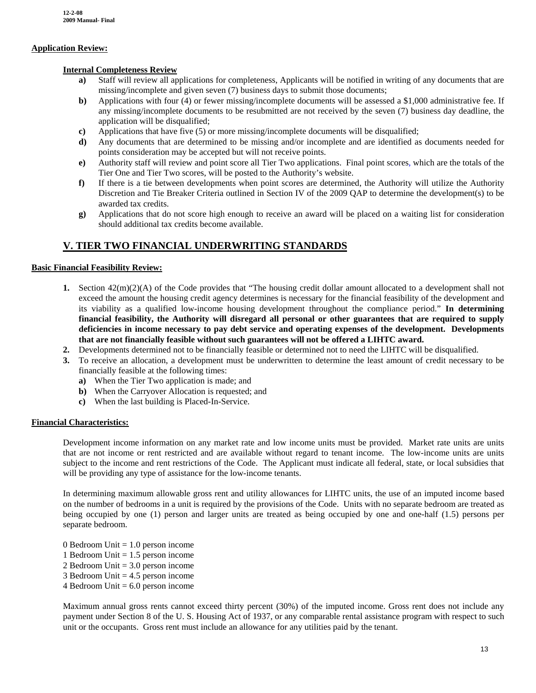#### **Application Review:**

#### **Internal Completeness Review**

- **a)** Staff will review all applications for completeness, Applicants will be notified in writing of any documents that are missing/incomplete and given seven (7) business days to submit those documents;
- **b**) Applications with four (4) or fewer missing/incomplete documents will be assessed a \$1,000 administrative fee. If any missing/incomplete documents to be resubmitted are not received by the seven (7) business day deadline, the application will be disqualified;
- **c)** Applications that have five (5) or more missing/incomplete documents will be disqualified;
- **d)** Any documents that are determined to be missing and/or incomplete and are identified as documents needed for points consideration may be accepted but will not receive points.
- **e)** Authority staff will review and point score all Tier Two applications. Final point scores, which are the totals of the Tier One and Tier Two scores, will be posted to the Authority's website.
- **f)** If there is a tie between developments when point scores are determined, the Authority will utilize the Authority Discretion and Tie Breaker Criteria outlined in Section IV of the 2009 QAP to determine the development(s) to be awarded tax credits.
- **g)** Applications that do not score high enough to receive an award will be placed on a waiting list for consideration should additional tax credits become available.

### **V. TIER TWO FINANCIAL UNDERWRITING STANDARDS**

#### **Basic Financial Feasibility Review:**

- **1.** Section 42(m)(2)(A) of the Code provides that "The housing credit dollar amount allocated to a development shall not exceed the amount the housing credit agency determines is necessary for the financial feasibility of the development and its viability as a qualified low-income housing development throughout the compliance period." **In determining financial feasibility, the Authority will disregard all personal or other guarantees that are required to supply deficiencies in income necessary to pay debt service and operating expenses of the development. Developments that are not financially feasible without such guarantees will not be offered a LIHTC award.**
- **2.** Developments determined not to be financially feasible or determined not to need the LIHTC will be disqualified.
- **3.** To receive an allocation, a development must be underwritten to determine the least amount of credit necessary to be financially feasible at the following times:
	- **a)** When the Tier Two application is made; and
	- **b)** When the Carryover Allocation is requested; and
	- **c)** When the last building is Placed-In-Service.

#### **Financial Characteristics:**

Development income information on any market rate and low income units must be provided. Market rate units are units that are not income or rent restricted and are available without regard to tenant income. The low-income units are units subject to the income and rent restrictions of the Code. The Applicant must indicate all federal, state, or local subsidies that will be providing any type of assistance for the low-income tenants.

In determining maximum allowable gross rent and utility allowances for LIHTC units, the use of an imputed income based on the number of bedrooms in a unit is required by the provisions of the Code. Units with no separate bedroom are treated as being occupied by one (1) person and larger units are treated as being occupied by one and one-half (1.5) persons per separate bedroom.

- 0 Bedroom Unit  $= 1.0$  person income
- 1 Bedroom Unit = 1.5 person income
- 2 Bedroom Unit = 3.0 person income
- 3 Bedroom Unit = 4.5 person income
- $4$  Bedroom Unit =  $6.0$  person income

Maximum annual gross rents cannot exceed thirty percent (30%) of the imputed income. Gross rent does not include any payment under Section 8 of the U. S. Housing Act of 1937, or any comparable rental assistance program with respect to such unit or the occupants. Gross rent must include an allowance for any utilities paid by the tenant.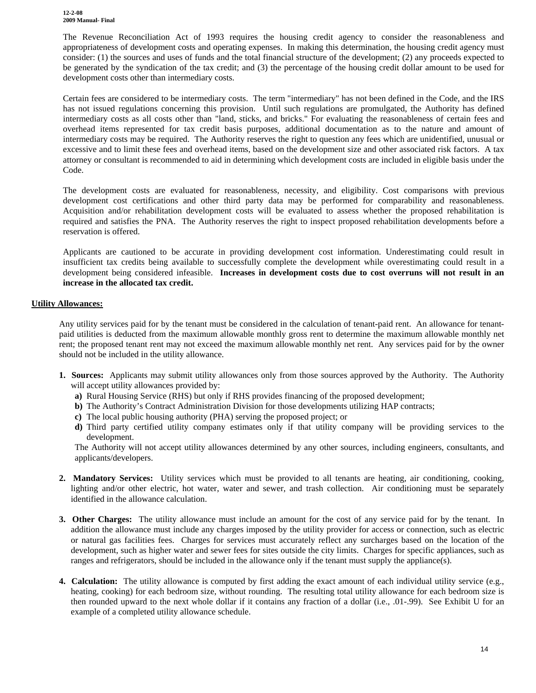**12-2-08 2009 Manual- Final**

The Revenue Reconciliation Act of 1993 requires the housing credit agency to consider the reasonableness and appropriateness of development costs and operating expenses. In making this determination, the housing credit agency must consider: (1) the sources and uses of funds and the total financial structure of the development; (2) any proceeds expected to be generated by the syndication of the tax credit; and (3) the percentage of the housing credit dollar amount to be used for development costs other than intermediary costs.

Certain fees are considered to be intermediary costs. The term "intermediary" has not been defined in the Code, and the IRS has not issued regulations concerning this provision. Until such regulations are promulgated, the Authority has defined intermediary costs as all costs other than "land, sticks, and bricks." For evaluating the reasonableness of certain fees and overhead items represented for tax credit basis purposes, additional documentation as to the nature and amount of intermediary costs may be required. The Authority reserves the right to question any fees which are unidentified, unusual or excessive and to limit these fees and overhead items, based on the development size and other associated risk factors. A tax attorney or consultant is recommended to aid in determining which development costs are included in eligible basis under the Code.

The development costs are evaluated for reasonableness, necessity, and eligibility. Cost comparisons with previous development cost certifications and other third party data may be performed for comparability and reasonableness. Acquisition and/or rehabilitation development costs will be evaluated to assess whether the proposed rehabilitation is required and satisfies the PNA. The Authority reserves the right to inspect proposed rehabilitation developments before a reservation is offered.

Applicants are cautioned to be accurate in providing development cost information. Underestimating could result in insufficient tax credits being available to successfully complete the development while overestimating could result in a development being considered infeasible. **Increases in development costs due to cost overruns will not result in an increase in the allocated tax credit.** 

#### **Utility Allowances:**

Any utility services paid for by the tenant must be considered in the calculation of tenant-paid rent. An allowance for tenantpaid utilities is deducted from the maximum allowable monthly gross rent to determine the maximum allowable monthly net rent; the proposed tenant rent may not exceed the maximum allowable monthly net rent. Any services paid for by the owner should not be included in the utility allowance.

- **1. Sources:** Applicants may submit utility allowances only from those sources approved by the Authority. The Authority will accept utility allowances provided by:
	- **a)** Rural Housing Service (RHS) but only if RHS provides financing of the proposed development;
	- **b**) The Authority's Contract Administration Division for those developments utilizing HAP contracts;
	- **c)** The local public housing authority (PHA) serving the proposed project; or
	- **d)** Third party certified utility company estimates only if that utility company will be providing services to the development.

The Authority will not accept utility allowances determined by any other sources, including engineers, consultants, and applicants/developers.

- **2. Mandatory Services:** Utility services which must be provided to all tenants are heating, air conditioning, cooking, lighting and/or other electric, hot water, water and sewer, and trash collection. Air conditioning must be separately identified in the allowance calculation.
- **3. Other Charges:** The utility allowance must include an amount for the cost of any service paid for by the tenant. In addition the allowance must include any charges imposed by the utility provider for access or connection, such as electric or natural gas facilities fees. Charges for services must accurately reflect any surcharges based on the location of the development, such as higher water and sewer fees for sites outside the city limits. Charges for specific appliances, such as ranges and refrigerators, should be included in the allowance only if the tenant must supply the appliance(s).
- **4. Calculation:** The utility allowance is computed by first adding the exact amount of each individual utility service (e.g., heating, cooking) for each bedroom size, without rounding. The resulting total utility allowance for each bedroom size is then rounded upward to the next whole dollar if it contains any fraction of a dollar (i.e., .01-.99). See Exhibit U for an example of a completed utility allowance schedule.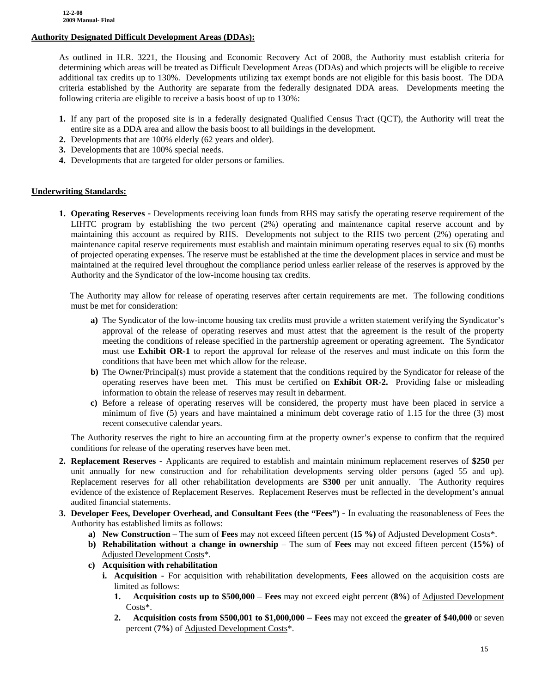#### **Authority Designated Difficult Development Areas (DDAs):**

 As outlined in H.R. 3221, the Housing and Economic Recovery Act of 2008, the Authority must establish criteria for determining which areas will be treated as Difficult Development Areas (DDAs) and which projects will be eligible to receive additional tax credits up to 130%. Developments utilizing tax exempt bonds are not eligible for this basis boost. The DDA criteria established by the Authority are separate from the federally designated DDA areas. Developments meeting the following criteria are eligible to receive a basis boost of up to 130%:

- **1.** If any part of the proposed site is in a federally designated Qualified Census Tract (QCT), the Authority will treat the entire site as a DDA area and allow the basis boost to all buildings in the development.
- **2.** Developments that are 100% elderly (62 years and older).
- **3.** Developments that are 100% special needs.
- **4.** Developments that are targeted for older persons or families.

#### **Underwriting Standards:**

**1. Operating Reserves -** Developments receiving loan funds from RHS may satisfy the operating reserve requirement of the LIHTC program by establishing the two percent (2%) operating and maintenance capital reserve account and by maintaining this account as required by RHS. Developments not subject to the RHS two percent (2%) operating and maintenance capital reserve requirements must establish and maintain minimum operating reserves equal to six (6) months of projected operating expenses. The reserve must be established at the time the development places in service and must be maintained at the required level throughout the compliance period unless earlier release of the reserves is approved by the Authority and the Syndicator of the low-income housing tax credits.

 The Authority may allow for release of operating reserves after certain requirements are met. The following conditions must be met for consideration:

- **a)** The Syndicator of the low-income housing tax credits must provide a written statement verifying the Syndicator's approval of the release of operating reserves and must attest that the agreement is the result of the property meeting the conditions of release specified in the partnership agreement or operating agreement. The Syndicator must use **Exhibit OR-1** to report the approval for release of the reserves and must indicate on this form the conditions that have been met which allow for the release.
- **b**) The Owner/Principal(s) must provide a statement that the conditions required by the Syndicator for release of the operating reserves have been met. This must be certified on **Exhibit OR-2.** Providing false or misleading information to obtain the release of reserves may result in debarment.
- **c)** Before a release of operating reserves will be considered, the property must have been placed in service a minimum of five (5) years and have maintained a minimum debt coverage ratio of 1.15 for the three (3) most recent consecutive calendar years.

The Authority reserves the right to hire an accounting firm at the property owner's expense to confirm that the required conditions for release of the operating reserves have been met.

- **2. Replacement Reserves** Applicants are required to establish and maintain minimum replacement reserves of **\$250** per unit annually for new construction and for rehabilitation developments serving older persons (aged 55 and up). Replacement reserves for all other rehabilitation developments are **\$300** per unit annually. The Authority requires evidence of the existence of Replacement Reserves. Replacement Reserves must be reflected in the development's annual audited financial statements.
- **3. Developer Fees, Developer Overhead, and Consultant Fees (the "Fees")**  In evaluating the reasonableness of Fees the Authority has established limits as follows:
	- **a) New Construction** The sum of **Fees** may not exceed fifteen percent (**15 %)** of Adjusted Development Costs\*.
	- **b) Rehabilitation without a change in ownership** The sum of **Fees** may not exceed fifteen percent (**15%)** of Adjusted Development Costs\*.
	- **c) Acquisition with rehabilitation** 
		- **i. Acquisition** For acquisition with rehabilitation developments, **Fees** allowed on the acquisition costs are limited as follows:
			- **1. Acquisition costs up to \$500,000 Fees** may not exceed eight percent (**8%**) of Adjusted Development Costs\*.
			- **2. Acquisition costs from \$500,001 to \$1,000,000 Fees** may not exceed the **greater of \$40,000** or seven percent (**7%**) of Adjusted Development Costs\*.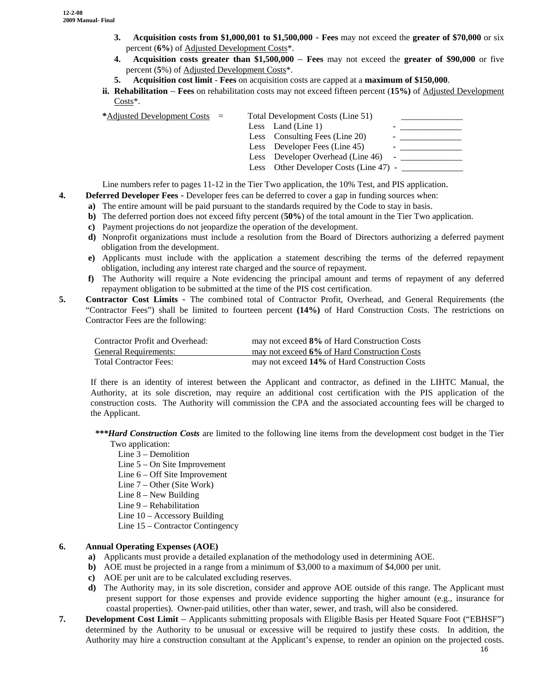- **3. Acquisition costs from \$1,000,001 to \$1,500,000 Fees** may not exceed the **greater of \$70,000** or six percent (**6%**) of Adjusted Development Costs\*.
- **4. Acquisition costs greater than \$1,500,000 Fees** may not exceed the **greater of \$90,000** or five percent (**5**%) of Adjusted Development Costs\*.
- **5. Acquisition cost limit Fees** on acquisition costs are capped at a **maximum of \$150,000**.
- **ii. Rehabilitation Fees** on rehabilitation costs may not exceed fifteen percent (**15%)** of Adjusted Development Costs\*.

| *Adjusted Development Costs $=$ |  | Total Development Costs (Line 51)      |  |
|---------------------------------|--|----------------------------------------|--|
|                                 |  | Less Land (Line 1)                     |  |
|                                 |  | Less Consulting Fees (Line 20)         |  |
|                                 |  | Less Developer Fees (Line 45)          |  |
|                                 |  | Less Developer Overhead (Line 46)      |  |
|                                 |  | Less Other Developer Costs (Line 47) - |  |

Line numbers refer to pages 11-12 in the Tier Two application, the 10% Test, and PIS application.

- **4. Deferred Developer Fees** Developer fees can be deferred to cover a gap in funding sources when:
	- **a**) The entire amount will be paid pursuant to the standards required by the Code to stay in basis.
	- **b)** The deferred portion does not exceed fifty percent (**50%**) of the total amount in the Tier Two application.
	- **c)** Payment projections do not jeopardize the operation of the development.
	- **d)** Nonprofit organizations must include a resolution from the Board of Directors authorizing a deferred payment obligation from the development.
	- **e)** Applicants must include with the application a statement describing the terms of the deferred repayment obligation, including any interest rate charged and the source of repayment.
	- **f)** The Authority will require a Note evidencing the principal amount and terms of repayment of any deferred repayment obligation to be submitted at the time of the PIS cost certification.
- **5. Contractor Cost Limits** The combined total of Contractor Profit, Overhead, and General Requirements (the "Contractor Fees") shall be limited to fourteen percent **(14%)** of Hard Construction Costs. The restrictions on Contractor Fees are the following:

| Contractor Profit and Overhead: | may not exceed 8% of Hard Construction Costs  |
|---------------------------------|-----------------------------------------------|
| <b>General Requirements:</b>    | may not exceed 6% of Hard Construction Costs  |
| <b>Total Contractor Fees:</b>   | may not exceed 14% of Hard Construction Costs |

If there is an identity of interest between the Applicant and contractor, as defined in the LIHTC Manual, the Authority, at its sole discretion, may require an additional cost certification with the PIS application of the construction costs. The Authority will commission the CPA and the associated accounting fees will be charged to the Applicant.

*\*\*\*Hard Construction Costs* are limited to the following line items from the development cost budget in the Tier

# Two application:

- Line 3 Demolition
- Line 5 On Site Improvement
- Line 6 Off Site Improvement
- Line 7 Other (Site Work)
- Line 8 New Building
- Line 9 Rehabilitation
- Line 10 Accessory Building
- Line 15 Contractor Contingency

#### **6. Annual Operating Expenses (AOE)**

- **a)** Applicants must provide a detailed explanation of the methodology used in determining AOE.
- **b**) AOE must be projected in a range from a minimum of \$3,000 to a maximum of \$4,000 per unit.
- **c)** AOE per unit are to be calculated excluding reserves.
- **d)** The Authority may, in its sole discretion, consider and approve AOE outside of this range. The Applicant must present support for those expenses and provide evidence supporting the higher amount (e.g., insurance for coastal properties). Owner-paid utilities, other than water, sewer, and trash, will also be considered.
- **7. Development Cost Limit** Applicants submitting proposals with Eligible Basis per Heated Square Foot ("EBHSF") determined by the Authority to be unusual or excessive will be required to justify these costs. In addition, the Authority may hire a construction consultant at the Applicant's expense, to render an opinion on the projected costs.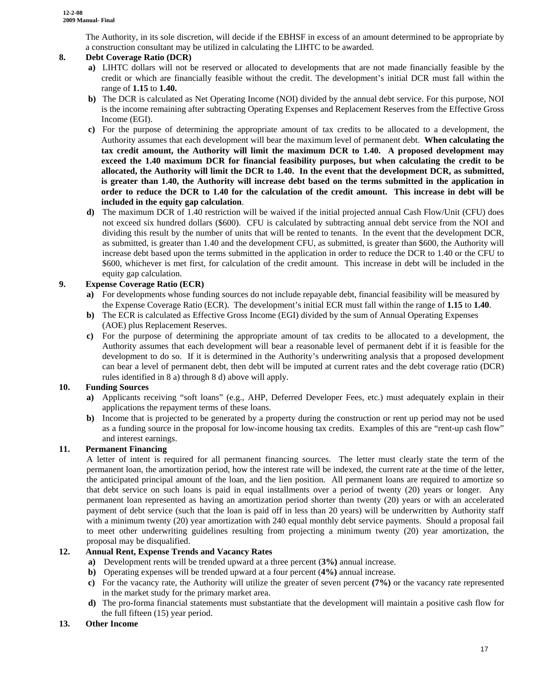The Authority, in its sole discretion, will decide if the EBHSF in excess of an amount determined to be appropriate by a construction consultant may be utilized in calculating the LIHTC to be awarded.

#### **8. Debt Coverage Ratio (DCR)**

- **a)** LIHTC dollars will not be reserved or allocated to developments that are not made financially feasible by the credit or which are financially feasible without the credit. The development's initial DCR must fall within the range of **1.15** to **1.40.**
- **b)** The DCR is calculated as Net Operating Income (NOI) divided by the annual debt service. For this purpose, NOI is the income remaining after subtracting Operating Expenses and Replacement Reserves from the Effective Gross Income (EGI).
- **c)** For the purpose of determining the appropriate amount of tax credits to be allocated to a development, the Authority assumes that each development will bear the maximum level of permanent debt. **When calculating the tax credit amount, the Authority will limit the maximum DCR to 1.40. A proposed development may exceed the 1.40 maximum DCR for financial feasibility purposes, but when calculating the credit to be allocated, the Authority will limit the DCR to 1.40. In the event that the development DCR, as submitted, is greater than 1.40, the Authority will increase debt based on the terms submitted in the application in order to reduce the DCR to 1.40 for the calculation of the credit amount. This increase in debt will be included in the equity gap calculation**.
- **d)** The maximum DCR of 1.40 restriction will be waived if the initial projected annual Cash Flow/Unit (CFU) does not exceed six hundred dollars (\$600). CFU is calculated by subtracting annual debt service from the NOI and dividing this result by the number of units that will be rented to tenants. In the event that the development DCR, as submitted, is greater than 1.40 and the development CFU, as submitted, is greater than \$600, the Authority will increase debt based upon the terms submitted in the application in order to reduce the DCR to 1.40 or the CFU to \$600, whichever is met first, for calculation of the credit amount. This increase in debt will be included in the equity gap calculation.

#### **9. Expense Coverage Ratio (ECR)**

- **a)** For developments whose funding sources do not include repayable debt, financial feasibility will be measured by the Expense Coverage Ratio (ECR). The development's initial ECR must fall within the range of **1.15** to **1.40**.
- **b**) The ECR is calculated as Effective Gross Income (EGI) divided by the sum of Annual Operating Expenses (AOE) plus Replacement Reserves.
- **c)** For the purpose of determining the appropriate amount of tax credits to be allocated to a development, the Authority assumes that each development will bear a reasonable level of permanent debt if it is feasible for the development to do so. If it is determined in the Authority's underwriting analysis that a proposed development can bear a level of permanent debt, then debt will be imputed at current rates and the debt coverage ratio (DCR) rules identified in 8 a) through 8 d) above will apply.

#### **10. Funding Sources**

- **a)** Applicants receiving "soft loans" (e.g., AHP, Deferred Developer Fees, etc.) must adequately explain in their applications the repayment terms of these loans.
- **b)** Income that is projected to be generated by a property during the construction or rent up period may not be used as a funding source in the proposal for low-income housing tax credits. Examples of this are "rent-up cash flow" and interest earnings.

#### **11. Permanent Financing**

A letter of intent is required for all permanent financing sources. The letter must clearly state the term of the permanent loan, the amortization period, how the interest rate will be indexed, the current rate at the time of the letter, the anticipated principal amount of the loan, and the lien position. All permanent loans are required to amortize so that debt service on such loans is paid in equal installments over a period of twenty (20) years or longer. Any permanent loan represented as having an amortization period shorter than twenty (20) years or with an accelerated payment of debt service (such that the loan is paid off in less than 20 years) will be underwritten by Authority staff with a minimum twenty (20) year amortization with 240 equal monthly debt service payments. Should a proposal fail to meet other underwriting guidelines resulting from projecting a minimum twenty (20) year amortization, the proposal may be disqualified.

#### **12. Annual Rent, Expense Trends and Vacancy Rates**

- **a)** Development rents will be trended upward at a three percent (**3%)** annual increase.
- **b)** Operating expenses will be trended upward at a four percent (**4%)** annual increase.
- **c)** For the vacancy rate, the Authority will utilize the greater of seven percent **(7%)** or the vacancy rate represented in the market study for the primary market area.
- **d)** The pro-forma financial statements must substantiate that the development will maintain a positive cash flow for the full fifteen (15) year period.

#### **13. Other Income**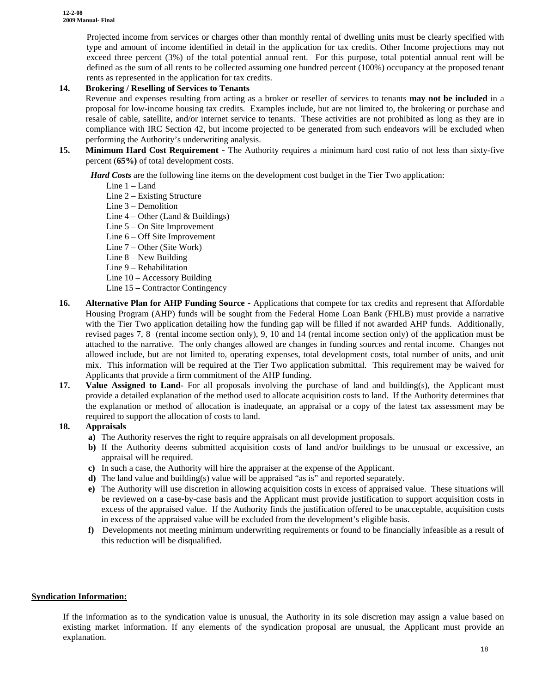Projected income from services or charges other than monthly rental of dwelling units must be clearly specified with type and amount of income identified in detail in the application for tax credits. Other Income projections may not exceed three percent (3%) of the total potential annual rent. For this purpose, total potential annual rent will be defined as the sum of all rents to be collected assuming one hundred percent (100%) occupancy at the proposed tenant rents as represented in the application for tax credits.

#### **14. Brokering / Reselling of Services to Tenants**

Revenue and expenses resulting from acting as a broker or reseller of services to tenants **may not be included** in a proposal for low-income housing tax credits. Examples include, but are not limited to, the brokering or purchase and resale of cable, satellite, and/or internet service to tenants. These activities are not prohibited as long as they are in compliance with IRC Section 42, but income projected to be generated from such endeavors will be excluded when performing the Authority's underwriting analysis.

**15. Minimum Hard Cost Requirement** - The Authority requires a minimum hard cost ratio of not less than sixty-five percent (**65%)** of total development costs.

*Hard Costs* are the following line items on the development cost budget in the Tier Two application:

- Line 1 Land
- Line 2 Existing Structure
- Line 3 Demolition
- Line  $4$  Other (Land  $\&$  Buildings)
- Line 5 On Site Improvement
- Line 6 Off Site Improvement
- Line 7 Other (Site Work)
- Line 8 New Building
- Line 9 Rehabilitation
- Line 10 Accessory Building
- Line 15 Contractor Contingency
- **16. Alternative Plan for AHP Funding Source** Applications that compete for tax credits and represent that Affordable Housing Program (AHP) funds will be sought from the Federal Home Loan Bank (FHLB) must provide a narrative with the Tier Two application detailing how the funding gap will be filled if not awarded AHP funds. Additionally, revised pages 7, 8 (rental income section only), 9, 10 and 14 (rental income section only) of the application must be attached to the narrative. The only changes allowed are changes in funding sources and rental income. Changes not allowed include, but are not limited to, operating expenses, total development costs, total number of units, and unit mix. This information will be required at the Tier Two application submittal. This requirement may be waived for Applicants that provide a firm commitment of the AHP funding.
- **17. Value Assigned to Land-** For all proposals involving the purchase of land and building(s), the Applicant must provide a detailed explanation of the method used to allocate acquisition costs to land. If the Authority determines that the explanation or method of allocation is inadequate, an appraisal or a copy of the latest tax assessment may be required to support the allocation of costs to land.

#### **18. Appraisals**

- **a)** The Authority reserves the right to require appraisals on all development proposals.
- **b)** If the Authority deems submitted acquisition costs of land and/or buildings to be unusual or excessive, an appraisal will be required.
- **c)** In such a case, the Authority will hire the appraiser at the expense of the Applicant.
- **d)** The land value and building(s) value will be appraised "as is" and reported separately.
- **e)** The Authority will use discretion in allowing acquisition costs in excess of appraised value. These situations will be reviewed on a case-by-case basis and the Applicant must provide justification to support acquisition costs in excess of the appraised value. If the Authority finds the justification offered to be unacceptable, acquisition costs in excess of the appraised value will be excluded from the development's eligible basis.
- **f)** Developments not meeting minimum underwriting requirements or found to be financially infeasible as a result of this reduction will be disqualified.

#### **Syndication Information:**

If the information as to the syndication value is unusual, the Authority in its sole discretion may assign a value based on existing market information. If any elements of the syndication proposal are unusual, the Applicant must provide an explanation.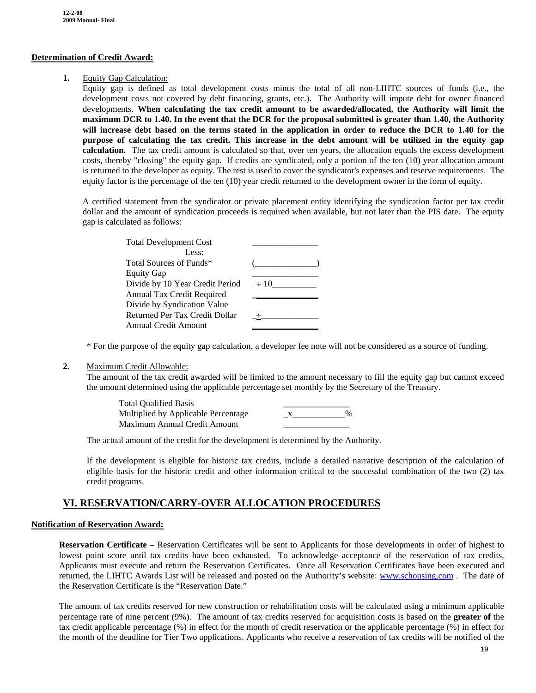#### **Determination of Credit Award:**

#### **1.** Equity Gap Calculation:

Equity gap is defined as total development costs minus the total of all non-LIHTC sources of funds (i.e., the development costs not covered by debt financing, grants, etc.). The Authority will impute debt for owner financed developments. **When calculating the tax credit amount to be awarded/allocated, the Authority will limit the maximum DCR to 1.40. In the event that the DCR for the proposal submitted is greater than 1.40, the Authority will increase debt based on the terms stated in the application in order to reduce the DCR to 1.40 for the purpose of calculating the tax credit. This increase in the debt amount will be utilized in the equity gap calculation.** The tax credit amount is calculated so that, over ten years, the allocation equals the excess development costs, thereby "closing" the equity gap. If credits are syndicated, only a portion of the ten (10) year allocation amount is returned to the developer as equity. The rest is used to cover the syndicator's expenses and reserve requirements. The equity factor is the percentage of the ten (10) year credit returned to the development owner in the form of equity.

A certified statement from the syndicator or private placement entity identifying the syndication factor per tax credit dollar and the amount of syndication proceeds is required when available, but not later than the PIS date. The equity gap is calculated as follows:

| <b>Total Development Cost</b>   |           |
|---------------------------------|-----------|
| Less:                           |           |
| Total Sources of Funds*         |           |
| <b>Equity Gap</b>               |           |
| Divide by 10 Year Credit Period | $\div 10$ |
| Annual Tax Credit Required      |           |
| Divide by Syndication Value     |           |
| Returned Per Tax Credit Dollar  |           |
| Annual Credit Amount            |           |

\* For the purpose of the equity gap calculation, a developer fee note will not be considered as a source of funding.

#### **2.** Maximum Credit Allowable:

The amount of the tax credit awarded will be limited to the amount necessary to fill the equity gap but cannot exceed the amount determined using the applicable percentage set monthly by the Secretary of the Treasury.

| <b>Total Qualified Basis</b>        |      |
|-------------------------------------|------|
| Multiplied by Applicable Percentage | $\%$ |
| Maximum Annual Credit Amount        |      |

The actual amount of the credit for the development is determined by the Authority.

If the development is eligible for historic tax credits, include a detailed narrative description of the calculation of eligible basis for the historic credit and other information critical to the successful combination of the two (2) tax credit programs.

### **VI. RESERVATION/CARRY-OVER ALLOCATION PROCEDURES**

#### **Notification of Reservation Award:**

**Reservation Certificate** – Reservation Certificates will be sent to Applicants for those developments in order of highest to lowest point score until tax credits have been exhausted. To acknowledge acceptance of the reservation of tax credits, Applicants must execute and return the Reservation Certificates. Once all Reservation Certificates have been executed and returned, the LIHTC Awards List will be released and posted on the Authority's website: [www.schousing.com](http://www.schousing.com/) . The date of the Reservation Certificate is the "Reservation Date."

The amount of tax credits reserved for new construction or rehabilitation costs will be calculated using a minimum applicable percentage rate of nine percent (9%). The amount of tax credits reserved for acquisition costs is based on the **greater of** the tax credit applicable percentage (%) in effect for the month of credit reservation or the applicable percentage (%) in effect for the month of the deadline for Tier Two applications. Applicants who receive a reservation of tax credits will be notified of the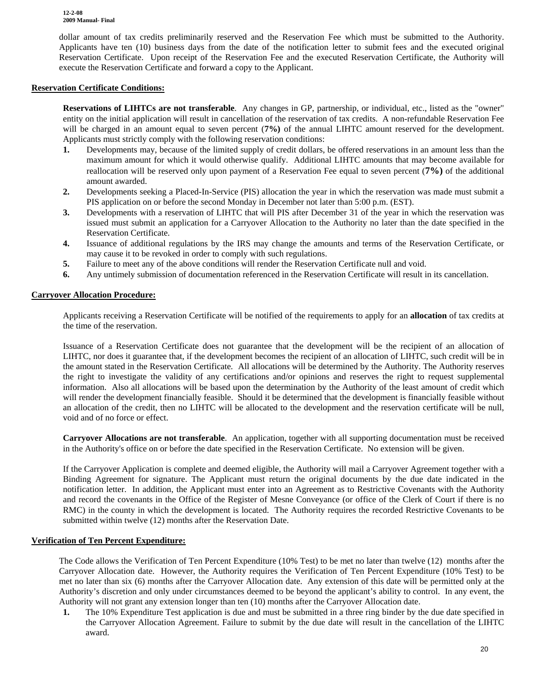dollar amount of tax credits preliminarily reserved and the Reservation Fee which must be submitted to the Authority. Applicants have ten (10) business days from the date of the notification letter to submit fees and the executed original Reservation Certificate. Upon receipt of the Reservation Fee and the executed Reservation Certificate, the Authority will execute the Reservation Certificate and forward a copy to the Applicant.

#### **Reservation Certificate Conditions:**

**Reservations of LIHTCs are not transferable**. Any changes in GP, partnership, or individual, etc., listed as the "owner" entity on the initial application will result in cancellation of the reservation of tax credits. A non-refundable Reservation Fee will be charged in an amount equal to seven percent (**7%**) of the annual LIHTC amount reserved for the development. Applicants must strictly comply with the following reservation conditions:

- **1.** Developments may, because of the limited supply of credit dollars, be offered reservations in an amount less than the maximum amount for which it would otherwise qualify. Additional LIHTC amounts that may become available for reallocation will be reserved only upon payment of a Reservation Fee equal to seven percent (**7%)** of the additional amount awarded.
- **2.** Developments seeking a Placed-In-Service (PIS) allocation the year in which the reservation was made must submit a PIS application on or before the second Monday in December not later than 5:00 p.m. (EST).
- **3.** Developments with a reservation of LIHTC that will PIS after December 31 of the year in which the reservation was issued must submit an application for a Carryover Allocation to the Authority no later than the date specified in the Reservation Certificate.
- **4.** Issuance of additional regulations by the IRS may change the amounts and terms of the Reservation Certificate, or may cause it to be revoked in order to comply with such regulations.
- **5.** Failure to meet any of the above conditions will render the Reservation Certificate null and void.
- **6.** Any untimely submission of documentation referenced in the Reservation Certificate will result in its cancellation.

#### **Carryover Allocation Procedure:**

Applicants receiving a Reservation Certificate will be notified of the requirements to apply for an **allocation** of tax credits at the time of the reservation.

Issuance of a Reservation Certificate does not guarantee that the development will be the recipient of an allocation of LIHTC, nor does it guarantee that, if the development becomes the recipient of an allocation of LIHTC, such credit will be in the amount stated in the Reservation Certificate*.* All allocations will be determined by the Authority. The Authority reserves the right to investigate the validity of any certifications and/or opinions and reserves the right to request supplemental information. Also all allocations will be based upon the determination by the Authority of the least amount of credit which will render the development financially feasible. Should it be determined that the development is financially feasible without an allocation of the credit, then no LIHTC will be allocated to the development and the reservation certificate will be null, void and of no force or effect.

**Carryover Allocations are not transferable**. An application, together with all supporting documentation must be received in the Authority's office on or before the date specified in the Reservation Certificate. No extension will be given.

If the Carryover Application is complete and deemed eligible, the Authority will mail a Carryover Agreement together with a Binding Agreement for signature. The Applicant must return the original documents by the due date indicated in the notification letter. In addition, the Applicant must enter into an Agreement as to Restrictive Covenants with the Authority and record the covenants in the Office of the Register of Mesne Conveyance (or office of the Clerk of Court if there is no RMC) in the county in which the development is located. The Authority requires the recorded Restrictive Covenants to be submitted within twelve (12) months after the Reservation Date.

#### **Verification of Ten Percent Expenditure:**

The Code allows the Verification of Ten Percent Expenditure (10% Test) to be met no later than twelve (12) months after the Carryover Allocation date. However, the Authority requires the Verification of Ten Percent Expenditure (10% Test) to be met no later than six (6) months after the Carryover Allocation date.Any extension of this date will be permitted only at the Authority's discretion and only under circumstances deemed to be beyond the applicant's ability to control. In any event, the Authority will not grant any extension longer than ten (10) months after the Carryover Allocation date.

**1.** The 10% Expenditure Test application is due and must be submitted in a three ring binder by the due date specified in the Carryover Allocation Agreement. Failure to submit by the due date will result in the cancellation of the LIHTC award.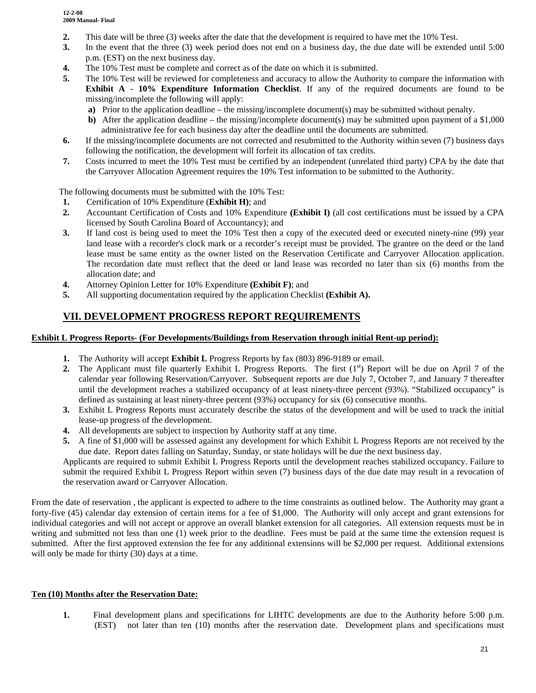- **2.** This date will be three (3) weeks after the date that the development is required to have met the 10% Test.
- **3.** In the event that the three (3) week period does not end on a business day, the due date will be extended until 5:00 p.m. (EST) on the next business day.
- **4.** The 10% Test must be complete and correct as of the date on which it is submitted.
- **5.** The 10% Test will be reviewed for completeness and accuracy to allow the Authority to compare the information with **Exhibit A - 10% Expenditure Information Checklist**. If any of the required documents are found to be missing/incomplete the following will apply:
	- **a)** Prior to the application deadline the missing/incomplete document(s) may be submitted without penalty.
	- **b**) After the application deadline the missing/incomplete document(s) may be submitted upon payment of a \$1,000 administrative fee for each business day after the deadline until the documents are submitted.
- **6.** If the missing/incomplete documents are not corrected and resubmitted to the Authority within seven (7) business days following the notification, the development will forfeit its allocation of tax credits.
- **7.** Costs incurred to meet the 10% Test must be certified by an independent (unrelated third party) CPA by the date that the Carryover Allocation Agreement requires the 10% Test information to be submitted to the Authority.

The following documents must be submitted with the 10% Test:

- **1.** Certification of 10% Expenditure (**Exhibit H)**; and
- **2.** Accountant Certification of Costs and 10% Expenditure **(Exhibit I)** (all cost certifications must be issued by a CPA licensed by South Carolina Board of Accountancy); and
- **3.** If land cost is being used to meet the 10% Test then a copy of the executed deed or executed ninety-nine (99) year land lease with a recorder's clock mark or a recorder's receipt must be provided. The grantee on the deed or the land lease must be same entity as the owner listed on the Reservation Certificate and Carryover Allocation application. The recordation date must reflect that the deed or land lease was recorded no later than six (6) months from the allocation date; and
- **4.** Attorney Opinion Letter for 10% Expenditure **(Exhibit F)**; and
- **5.** All supporting documentation required by the application Checklist **(Exhibit A).**

### **VII. DEVELOPMENT PROGRESS REPORT REQUIREMENTS**

#### **Exhibit L Progress Reports- (For Developments/Buildings from Reservation through initial Rent-up period):**

- **1.** The Authority will accept **Exhibit L** Progress Reports by fax (803) 896-9189 or email.
- **2.** The Applicant must file quarterly Exhibit L Progress Reports. The first  $(1<sup>st</sup>)$  Report will be due on April 7 of the calendar year following Reservation/Carryover. Subsequent reports are due July 7, October 7, and January 7 thereafter until the development reaches a stabilized occupancy of at least ninety-three percent (93%). "Stabilized occupancy" is defined as sustaining at least ninety-three percent (93%) occupancy for six (6) consecutive months.
- **3.** Exhibit L Progress Reports must accurately describe the status of the development and will be used to track the initial lease-up progress of the development.
- **4.** All developments are subject to inspection by Authority staff at any time.
- **5.** A fine of \$1,000 will be assessed against any development for which Exhibit L Progress Reports are not received by the due date. Report dates falling on Saturday, Sunday, or state holidays will be due the next business day.

Applicants are required to submit Exhibit L Progress Reports until the development reaches stabilized occupancy. Failure to submit the required Exhibit L Progress Report within seven (7) business days of the due date may result in a revocation of the reservation award or Carryover Allocation.

From the date of reservation , the applicant is expected to adhere to the time constraints as outlined below. The Authority may grant a forty-five (45) calendar day extension of certain items for a fee of \$1,000. The Authority will only accept and grant extensions for individual categories and will not accept or approve an overall blanket extension for all categories. All extension requests must be in writing and submitted not less than one (1) week prior to the deadline. Fees must be paid at the same time the extension request is submitted. After the first approved extension the fee for any additional extensions will be \$2,000 per request. Additional extensions will only be made for thirty (30) days at a time.

#### **Ten (10) Months after the Reservation Date:**

**1.** Final development plans and specifications for LIHTC developments are due to the Authority before 5:00 p.m. (EST) not later than ten (10) months after the reservation date. Development plans and specifications must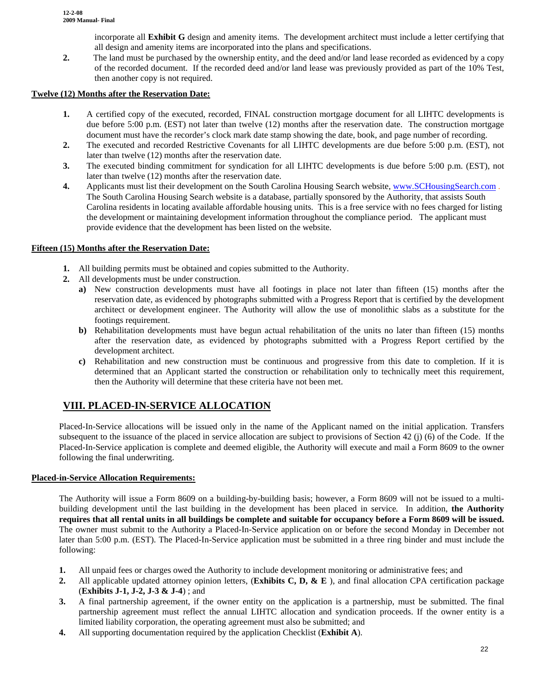incorporate all **Exhibit G** design and amenity items. The development architect must include a letter certifying that all design and amenity items are incorporated into the plans and specifications.

**2.** The land must be purchased by the ownership entity, and the deed and/or land lease recorded as evidenced by a copy of the recorded document. If the recorded deed and/or land lease was previously provided as part of the 10% Test, then another copy is not required.

#### **Twelve (12) Months after the Reservation Date:**

- **1.** A certified copy of the executed, recorded, FINAL construction mortgage document for all LIHTC developments is due before 5:00 p.m. (EST) not later than twelve (12) months after the reservation date. The construction mortgage document must have the recorder's clock mark date stamp showing the date, book, and page number of recording.
- **2.** The executed and recorded Restrictive Covenants for all LIHTC developments are due before 5:00 p.m. (EST), not later than twelve (12) months after the reservation date.
- **3.** The executed binding commitment for syndication for all LIHTC developments is due before 5:00 p.m. (EST), not later than twelve (12) months after the reservation date.
- **4.** Applicants must list their development on the South Carolina Housing Search website, [www.SCHousingSearch.com](http://www.schousingsearch.com/) . The South Carolina Housing Search website is a database, partially sponsored by the Authority, that assists South Carolina residents in locating available affordable housing units. This is a free service with no fees charged for listing the development or maintaining development information throughout the compliance period. The applicant must provide evidence that the development has been listed on the website.

#### **Fifteen (15) Months after the Reservation Date:**

- **1.** All building permits must be obtained and copies submitted to the Authority.
- **2.** All developments must be under construction.
	- **a)** New construction developments must have all footings in place not later than fifteen (15) months after the reservation date, as evidenced by photographs submitted with a Progress Report that is certified by the development architect or development engineer. The Authority will allow the use of monolithic slabs as a substitute for the footings requirement.
	- **b)** Rehabilitation developments must have begun actual rehabilitation of the units no later than fifteen (15) months after the reservation date, as evidenced by photographs submitted with a Progress Report certified by the development architect.
	- **c)** Rehabilitation and new construction must be continuous and progressive from this date to completion. If it is determined that an Applicant started the construction or rehabilitation only to technically meet this requirement, then the Authority will determine that these criteria have not been met.

## **VIII. PLACED-IN-SERVICE ALLOCATION**

Placed-In-Service allocations will be issued only in the name of the Applicant named on the initial application. Transfers subsequent to the issuance of the placed in service allocation are subject to provisions of Section 42 (j) (6) of the Code. If the Placed-In-Service application is complete and deemed eligible, the Authority will execute and mail a Form 8609 to the owner following the final underwriting.

#### **Placed-in-Service Allocation Requirements:**

The Authority will issue a Form 8609 on a building-by-building basis; however, a Form 8609 will not be issued to a multibuilding development until the last building in the development has been placed in service*.* In addition, **the Authority requires that all rental units in all buildings be complete and suitable for occupancy before a Form 8609 will be issued.** The owner must submit to the Authority a Placed-In-Service application on or before the second Monday in December not later than 5:00 p.m. (EST). The Placed-In-Service application must be submitted in a three ring binder and must include the following:

- **1.** All unpaid fees or charges owed the Authority to include development monitoring or administrative fees; and
- **2.** All applicable updated attorney opinion letters, (**Exhibits C, D, & E** ), and final allocation CPA certification package (**Exhibits J-1, J-2, J-3 & J-4**) ; and
- **3.** A final partnership agreement, if the owner entity on the application is a partnership, must be submitted. The final partnership agreement must reflect the annual LIHTC allocation and syndication proceeds. If the owner entity is a limited liability corporation, the operating agreement must also be submitted; and
- **4.** All supporting documentation required by the application Checklist (**Exhibit A**).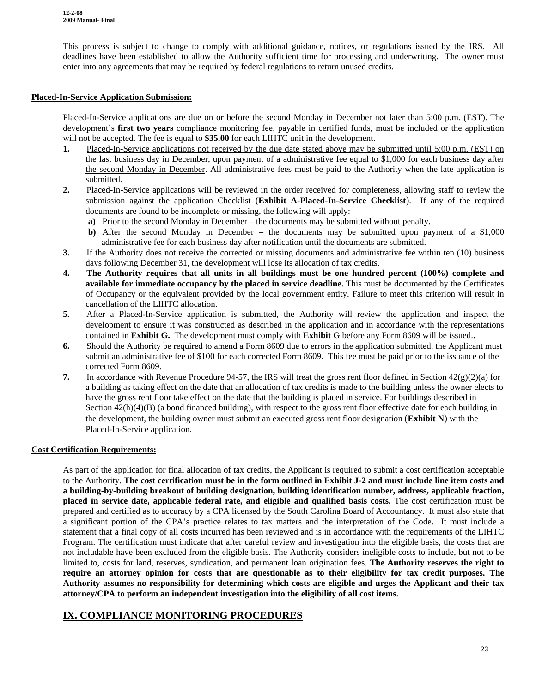This process is subject to change to comply with additional guidance, notices, or regulations issued by the IRS. All deadlines have been established to allow the Authority sufficient time for processing and underwriting. The owner must enter into any agreements that may be required by federal regulations to return unused credits.

#### **Placed-In-Service Application Submission:**

Placed-In-Service applications are due on or before the second Monday in December not later than 5:00 p.m. (EST). The development's **first two years** compliance monitoring fee, payable in certified funds, must be included or the application will not be accepted. The fee is equal to **\$35.00** for each LIHTC unit in the development.

- **1.** Placed-In-Service applications not received by the due date stated above may be submitted until 5:00 p.m. (EST) on the last business day in December, upon payment of a administrative fee equal to \$1,000 for each business day after the second Monday in December. All administrative fees must be paid to the Authority when the late application is submitted.
- **2.** Placed-In-Service applications will be reviewed in the order received for completeness, allowing staff to review the submission against the application Checklist (**Exhibit A-Placed-In-Service Checklist**). If any of the required documents are found to be incomplete or missing, the following will apply:
	- **a)** Prior to the second Monday in December the documents may be submitted without penalty.
	- **b)** After the second Monday in December the documents may be submitted upon payment of a \$1,000 administrative fee for each business day after notification until the documents are submitted.
- **3.** If the Authority does not receive the corrected or missing documents and administrative fee within ten (10) business days following December 31, the development will lose its allocation of tax credits.
- **4. The Authority requires that all units in all buildings must be one hundred percent (100%) complete and available for immediate occupancy by the placed in service deadline.** This must be documented by the Certificates of Occupancy or the equivalent provided by the local government entity. Failure to meet this criterion will result in cancellation of the LIHTC allocation.
- **5.** After a Placed-In-Service application is submitted, the Authority will review the application and inspect the development to ensure it was constructed as described in the application and in accordance with the representations contained in **Exhibit G.** The development must comply with **Exhibit G** before any Form 8609 will be issued..
- **6.** Should the Authority be required to amend a Form 8609 due to errors in the application submitted, the Applicant must submit an administrative fee of \$100 for each corrected Form 8609. This fee must be paid prior to the issuance of the corrected Form 8609.
- **7.** In accordance with Revenue Procedure 94-57, the IRS will treat the gross rent floor defined in Section  $42(g)(2)(a)$  for a building as taking effect on the date that an allocation of tax credits is made to the building unless the owner elects to have the gross rent floor take effect on the date that the building is placed in service. For buildings described in Section  $42(h)(4)(B)$  (a bond financed building), with respect to the gross rent floor effective date for each building in the development, the building owner must submit an executed gross rent floor designation (**Exhibit N**) with the Placed-In-Service application.

#### **Cost Certification Requirements:**

As part of the application for final allocation of tax credits, the Applicant is required to submit a cost certification acceptable to the Authority. **The cost certification must be in the form outlined in Exhibit J-2 and must include line item costs and a building-by-building breakout of building designation, building identification number, address, applicable fraction, placed in service date, applicable federal rate, and eligible and qualified basis costs.** The cost certification must be prepared and certified as to accuracy by a CPA licensed by the South Carolina Board of Accountancy. It must also state that a significant portion of the CPA's practice relates to tax matters and the interpretation of the Code. It must include a statement that a final copy of all costs incurred has been reviewed and is in accordance with the requirements of the LIHTC Program. The certification must indicate that after careful review and investigation into the eligible basis, the costs that are not includable have been excluded from the eligible basis. The Authority considers ineligible costs to include, but not to be limited to, costs for land, reserves, syndication, and permanent loan origination fees. **The Authority reserves the right to require an attorney opinion for costs that are questionable as to their eligibility for tax credit purposes. The Authority assumes no responsibility for determining which costs are eligible and urges the Applicant and their tax attorney/CPA to perform an independent investigation into the eligibility of all cost items.**

### **IX. COMPLIANCE MONITORING PROCEDURES**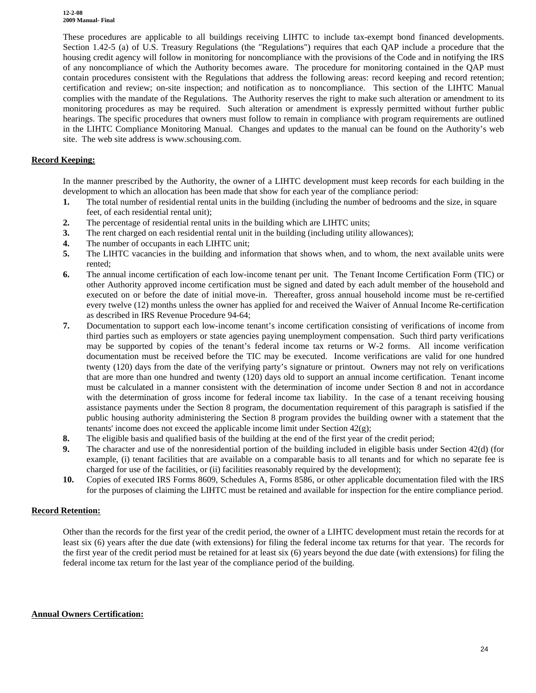**12-2-08 2009 Manual- Final**

These procedures are applicable to all buildings receiving LIHTC to include tax-exempt bond financed developments. Section 1.42-5 (a) of U.S. Treasury Regulations (the "Regulations") requires that each QAP include a procedure that the housing credit agency will follow in monitoring for noncompliance with the provisions of the Code and in notifying the IRS of any noncompliance of which the Authority becomes aware. The procedure for monitoring contained in the QAP must contain procedures consistent with the Regulations that address the following areas: record keeping and record retention; certification and review; on-site inspection; and notification as to noncompliance. This section of the LIHTC Manual complies with the mandate of the Regulations. The Authority reserves the right to make such alteration or amendment to its monitoring procedures as may be required. Such alteration or amendment is expressly permitted without further public hearings. The specific procedures that owners must follow to remain in compliance with program requirements are outlined in the LIHTC Compliance Monitoring Manual. Changes and updates to the manual can be found on the Authority's web site. The web site address is www.schousing.com.

#### **Record Keeping:**

In the manner prescribed by the Authority, the owner of a LIHTC development must keep records for each building in the development to which an allocation has been made that show for each year of the compliance period:

- **1.** The total number of residential rental units in the building (including the number of bedrooms and the size, in square feet, of each residential rental unit);
- **2.** The percentage of residential rental units in the building which are LIHTC units;
- **3.** The rent charged on each residential rental unit in the building (including utility allowances);
- **4.** The number of occupants in each LIHTC unit;
- **5.** The LIHTC vacancies in the building and information that shows when, and to whom, the next available units were rented;
- **6.** The annual income certification of each low-income tenant per unit. The Tenant Income Certification Form (TIC) or other Authority approved income certification must be signed and dated by each adult member of the household and executed on or before the date of initial move-in. Thereafter, gross annual household income must be re-certified every twelve (12) months unless the owner has applied for and received the Waiver of Annual Income Re-certification as described in IRS Revenue Procedure 94-64;
- **7.** Documentation to support each low-income tenant's income certification consisting of verifications of income from third parties such as employers or state agencies paying unemployment compensation. Such third party verifications may be supported by copies of the tenant's federal income tax returns or W-2 forms. All income verification documentation must be received before the TIC may be executed. Income verifications are valid for one hundred twenty (120) days from the date of the verifying party's signature or printout. Owners may not rely on verifications that are more than one hundred and twenty (120) days old to support an annual income certification. Tenant income must be calculated in a manner consistent with the determination of income under Section 8 and not in accordance with the determination of gross income for federal income tax liability. In the case of a tenant receiving housing assistance payments under the Section 8 program, the documentation requirement of this paragraph is satisfied if the public housing authority administering the Section 8 program provides the building owner with a statement that the tenants' income does not exceed the applicable income limit under Section 42(g);
- **8.** The eligible basis and qualified basis of the building at the end of the first year of the credit period;
- **9.** The character and use of the nonresidential portion of the building included in eligible basis under Section 42(d) (for example, (i) tenant facilities that are available on a comparable basis to all tenants and for which no separate fee is charged for use of the facilities, or (ii) facilities reasonably required by the development);
- **10.** Copies of executed IRS Forms 8609, Schedules A, Forms 8586, or other applicable documentation filed with the IRS for the purposes of claiming the LIHTC must be retained and available for inspection for the entire compliance period.

#### **Record Retention:**

Other than the records for the first year of the credit period, the owner of a LIHTC development must retain the records for at least six (6) years after the due date (with extensions) for filing the federal income tax returns for that year. The records for the first year of the credit period must be retained for at least six (6) years beyond the due date (with extensions) for filing the federal income tax return for the last year of the compliance period of the building.

#### **Annual Owners Certification:**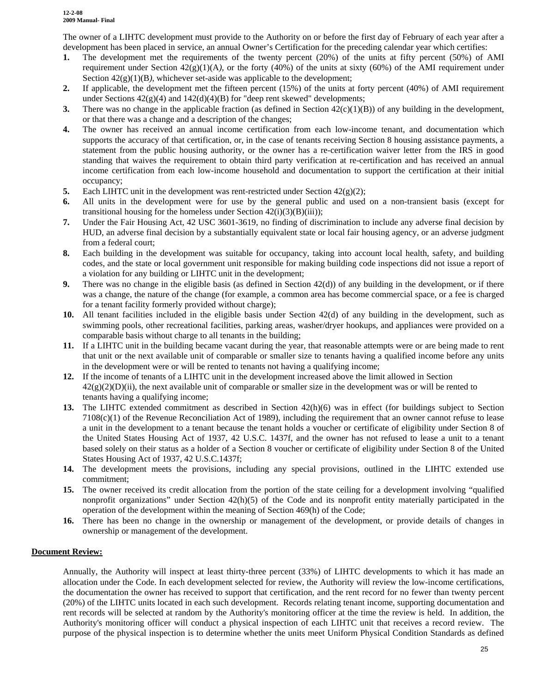The owner of a LIHTC development must provide to the Authority on or before the first day of February of each year after a development has been placed in service, an annual Owner's Certification for the preceding calendar year which certifies:

- **1.** The development met the requirements of the twenty percent (20%) of the units at fifty percent (50%) of AMI requirement under Section 42(g)(1)(A*),* or the forty (40%) of the units at sixty (60%) of the AMI requirement under Section  $42(g)(1)(B)$ , whichever set-aside was applicable to the development;
- **2.** If applicable, the development met the fifteen percent (15%) of the units at forty percent (40%) of AMI requirement under Sections  $42(g)(4)$  and  $142(d)(4)(B)$  for "deep rent skewed" developments;
- **3.** There was no change in the applicable fraction (as defined in Section  $42(c)(1)(B)$ ) of any building in the development, or that there was a change and a description of the changes;
- **4.** The owner has received an annual income certification from each low-income tenant, and documentation which supports the accuracy of that certification, or, in the case of tenants receiving Section 8 housing assistance payments, a statement from the public housing authority, or the owner has a re-certification waiver letter from the IRS in good standing that waives the requirement to obtain third party verification at re-certification and has received an annual income certification from each low-income household and documentation to support the certification at their initial occupancy;
- **5.** Each LIHTC unit in the development was rent-restricted under Section  $42(g)(2)$ ;
- **6.** All units in the development were for use by the general public and used on a non-transient basis (except for transitional housing for the homeless under Section  $42(i)(3)(B)(iii)$ ;
- **7.** Under the Fair Housing Act, 42 USC 3601-3619, no finding of discrimination to include any adverse final decision by HUD, an adverse final decision by a substantially equivalent state or local fair housing agency, or an adverse judgment from a federal court;
- **8.** Each building in the development was suitable for occupancy, taking into account local health, safety, and building codes, and the state or local government unit responsible for making building code inspections did not issue a report of a violation for any building or LIHTC unit in the development;
- **9.** There was no change in the eligible basis (as defined in Section 42(d)) of any building in the development, or if there was a change, the nature of the change (for example, a common area has become commercial space, or a fee is charged for a tenant facility formerly provided without charge);
- **10.** All tenant facilities included in the eligible basis under Section 42(d) of any building in the development, such as swimming pools, other recreational facilities, parking areas, washer/dryer hookups, and appliances were provided on a comparable basis without charge to all tenants in the building;
- **11.** If a LIHTC unit in the building became vacant during the year, that reasonable attempts were or are being made to rent that unit or the next available unit of comparable or smaller size to tenants having a qualified income before any units in the development were or will be rented to tenants not having a qualifying income;
- **12.** If the income of tenants of a LIHTC unit in the development increased above the limit allowed in Section  $42(g)(2)(D)(ii)$ , the next available unit of comparable or smaller size in the development was or will be rented to tenants having a qualifying income;
- **13.** The LIHTC extended commitment as described in Section 42(h)(6) was in effect (for buildings subject to Section  $7108(c)(1)$  of the Revenue Reconciliation Act of 1989), including the requirement that an owner cannot refuse to lease a unit in the development to a tenant because the tenant holds a voucher or certificate of eligibility under Section 8 of the United States Housing Act of 1937, 42 U.S.C. 1437f, and the owner has not refused to lease a unit to a tenant based solely on their status as a holder of a Section 8 voucher or certificate of eligibility under Section 8 of the United States Housing Act of 1937, 42 U.S.C.1437f;
- **14.** The development meets the provisions, including any special provisions, outlined in the LIHTC extended use commitment;
- **15.** The owner received its credit allocation from the portion of the state ceiling for a development involving "qualified nonprofit organizations" under Section 42(h)(5) of the Code and its nonprofit entity materially participated in the operation of the development within the meaning of Section 469(h) of the Code;
- **16.** There has been no change in the ownership or management of the development, or provide details of changes in ownership or management of the development.

#### **Document Review:**

Annually, the Authority will inspect at least thirty-three percent (33%) of LIHTC developments to which it has made an allocation under the Code. In each development selected for review, the Authority will review the low-income certifications, the documentation the owner has received to support that certification, and the rent record for no fewer than twenty percent (20%) of the LIHTC units located in each such development. Records relating tenant income, supporting documentation and rent records will be selected at random by the Authority's monitoring officer at the time the review is held. In addition, the Authority's monitoring officer will conduct a physical inspection of each LIHTC unit that receives a record review. The purpose of the physical inspection is to determine whether the units meet Uniform Physical Condition Standards as defined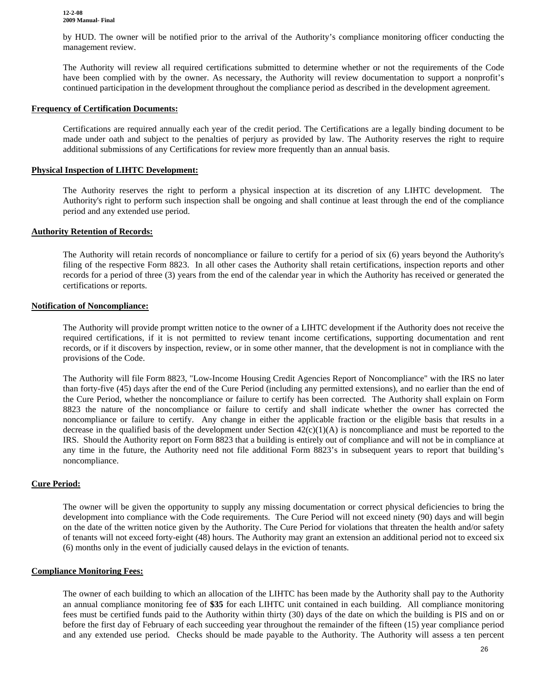by HUD. The owner will be notified prior to the arrival of the Authority's compliance monitoring officer conducting the management review.

The Authority will review all required certifications submitted to determine whether or not the requirements of the Code have been complied with by the owner. As necessary, the Authority will review documentation to support a nonprofit's continued participation in the development throughout the compliance period as described in the development agreement.

#### **Frequency of Certification Documents:**

Certifications are required annually each year of the credit period. The Certifications are a legally binding document to be made under oath and subject to the penalties of perjury as provided by law. The Authority reserves the right to require additional submissions of any Certifications for review more frequently than an annual basis.

#### **Physical Inspection of LIHTC Development:**

The Authority reserves the right to perform a physical inspection at its discretion of any LIHTC development. The Authority's right to perform such inspection shall be ongoing and shall continue at least through the end of the compliance period and any extended use period.

#### **Authority Retention of Records:**

The Authority will retain records of noncompliance or failure to certify for a period of six (6) years beyond the Authority's filing of the respective Form 8823. In all other cases the Authority shall retain certifications, inspection reports and other records for a period of three (3) years from the end of the calendar year in which the Authority has received or generated the certifications or reports.

#### **Notification of Noncompliance:**

The Authority will provide prompt written notice to the owner of a LIHTC development if the Authority does not receive the required certifications, if it is not permitted to review tenant income certifications, supporting documentation and rent records, or if it discovers by inspection, review, or in some other manner, that the development is not in compliance with the provisions of the Code.

The Authority will file Form 8823, "Low-Income Housing Credit Agencies Report of Noncompliance" with the IRS no later than forty-five (45) days after the end of the Cure Period (including any permitted extensions), and no earlier than the end of the Cure Period, whether the noncompliance or failure to certify has been corrected*.* The Authority shall explain on Form 8823 the nature of the noncompliance or failure to certify and shall indicate whether the owner has corrected the noncompliance or failure to certify. Any change in either the applicable fraction or the eligible basis that results in a decrease in the qualified basis of the development under Section  $42(c)(1)(A)$  is noncompliance and must be reported to the IRS. Should the Authority report on Form 8823 that a building is entirely out of compliance and will not be in compliance at any time in the future, the Authority need not file additional Form 8823's in subsequent years to report that building's noncompliance.

#### **Cure Period:**

The owner will be given the opportunity to supply any missing documentation or correct physical deficiencies to bring the development into compliance with the Code requirements. The Cure Period will not exceed ninety (90) days and will begin on the date of the written notice given by the Authority. The Cure Period for violations that threaten the health and/or safety of tenants will not exceed forty-eight (48) hours. The Authority may grant an extension an additional period not to exceed six (6) months only in the event of judicially caused delays in the eviction of tenants.

#### **Compliance Monitoring Fees:**

The owner of each building to which an allocation of the LIHTC has been made by the Authority shall pay to the Authority an annual compliance monitoring fee of **\$35** for each LIHTC unit contained in each building. All compliance monitoring fees must be certified funds paid to the Authority within thirty (30) days of the date on which the building is PIS and on or before the first day of February of each succeeding year throughout the remainder of the fifteen (15) year compliance period and any extended use period. Checks should be made payable to the Authority. The Authority will assess a ten percent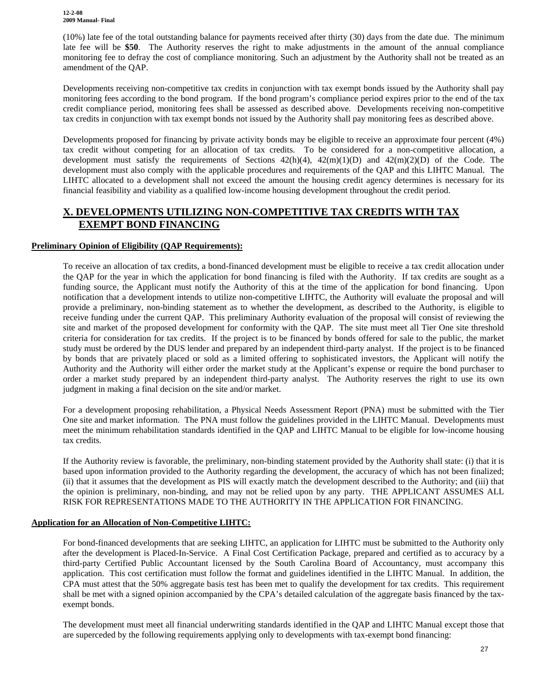(10%) late fee of the total outstanding balance for payments received after thirty (30) days from the date due. The minimum late fee will be **\$50**. The Authority reserves the right to make adjustments in the amount of the annual compliance monitoring fee to defray the cost of compliance monitoring. Such an adjustment by the Authority shall not be treated as an amendment of the QAP.

Developments receiving non-competitive tax credits in conjunction with tax exempt bonds issued by the Authority shall pay monitoring fees according to the bond program. If the bond program's compliance period expires prior to the end of the tax credit compliance period, monitoring fees shall be assessed as described above. Developments receiving non-competitive tax credits in conjunction with tax exempt bonds not issued by the Authority shall pay monitoring fees as described above.

Developments proposed for financing by private activity bonds may be eligible to receive an approximate four percent (4%) tax credit without competing for an allocation of tax credits. To be considered for a non-competitive allocation, a development must satisfy the requirements of Sections  $42(h)(4)$ ,  $42(m)(1)(D)$  and  $42(m)(2)(D)$  of the Code. The development must also comply with the applicable procedures and requirements of the QAP and this LIHTC Manual. The LIHTC allocated to a development shall not exceed the amount the housing credit agency determines is necessary for its financial feasibility and viability as a qualified low-income housing development throughout the credit period.

### **X. DEVELOPMENTS UTILIZING NON-COMPETITIVE TAX CREDITS WITH TAX EXEMPT BOND FINANCING**

#### **Preliminary Opinion of Eligibility (QAP Requirements):**

To receive an allocation of tax credits, a bond-financed development must be eligible to receive a tax credit allocation under the QAP for the year in which the application for bond financing is filed with the Authority. If tax credits are sought as a funding source, the Applicant must notify the Authority of this at the time of the application for bond financing. Upon notification that a development intends to utilize non-competitive LIHTC, the Authority will evaluate the proposal and will provide a preliminary, non-binding statement as to whether the development, as described to the Authority, is eligible to receive funding under the current QAP. This preliminary Authority evaluation of the proposal will consist of reviewing the site and market of the proposed development for conformity with the QAP. The site must meet all Tier One site threshold criteria for consideration for tax credits. If the project is to be financed by bonds offered for sale to the public, the market study must be ordered by the DUS lender and prepared by an independent third-party analyst. If the project is to be financed by bonds that are privately placed or sold as a limited offering to sophisticated investors, the Applicant will notify the Authority and the Authority will either order the market study at the Applicant's expense or require the bond purchaser to order a market study prepared by an independent third-party analyst. The Authority reserves the right to use its own judgment in making a final decision on the site and/or market.

For a development proposing rehabilitation, a Physical Needs Assessment Report (PNA) must be submitted with the Tier One site and market information. The PNA must follow the guidelines provided in the LIHTC Manual. Developments must meet the minimum rehabilitation standards identified in the QAP and LIHTC Manual to be eligible for low-income housing tax credits.

If the Authority review is favorable, the preliminary, non-binding statement provided by the Authority shall state: (i) that it is based upon information provided to the Authority regarding the development, the accuracy of which has not been finalized; (ii) that it assumes that the development as PIS will exactly match the development described to the Authority; and (iii) that the opinion is preliminary, non-binding, and may not be relied upon by any party. THE APPLICANT ASSUMES ALL RISK FOR REPRESENTATIONS MADE TO THE AUTHORITY IN THE APPLICATION FOR FINANCING.

#### **Application for an Allocation of Non-Competitive LIHTC:**

For bond-financed developments that are seeking LIHTC, an application for LIHTC must be submitted to the Authority only after the development is Placed-In-Service. A Final Cost Certification Package, prepared and certified as to accuracy by a third-party Certified Public Accountant licensed by the South Carolina Board of Accountancy, must accompany this application. This cost certification must follow the format and guidelines identified in the LIHTC Manual. In addition, the CPA must attest that the 50% aggregate basis test has been met to qualify the development for tax credits. This requirement shall be met with a signed opinion accompanied by the CPA's detailed calculation of the aggregate basis financed by the taxexempt bonds.

The development must meet all financial underwriting standards identified in the QAP and LIHTC Manual except those that are superceded by the following requirements applying only to developments with tax-exempt bond financing: